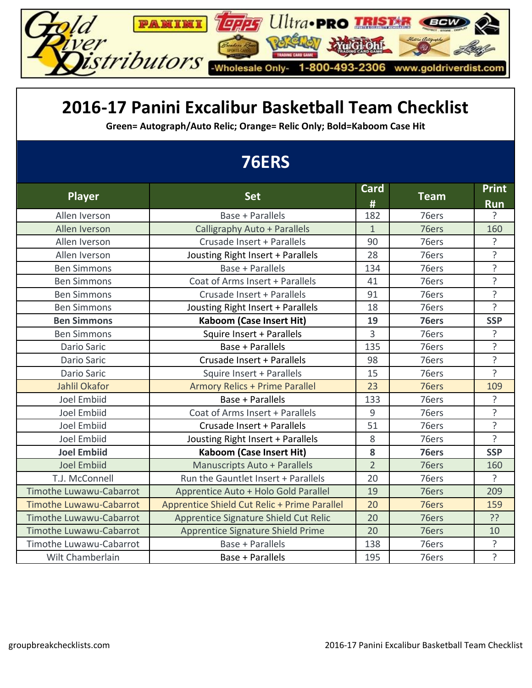

#### **2016-17 Panini Excalibur Basketball Team Checklist**

**Green= Autograph/Auto Relic; Orange= Relic Only; Bold=Kaboom Case Hit**

## **76ERS**

| <b>Player</b>                  | <b>Set</b>                                   | <b>Card</b>    | <b>Team</b> | <b>Print</b>   |
|--------------------------------|----------------------------------------------|----------------|-------------|----------------|
|                                |                                              | #              |             | <b>Run</b>     |
| Allen Iverson                  | Base + Parallels                             | 182            | 76ers       | ?              |
| Allen Iverson                  | Calligraphy Auto + Parallels                 | $\mathbf{1}$   | 76ers       | 160            |
| Allen Iverson                  | Crusade Insert + Parallels                   | 90             | 76ers       | ?              |
| Allen Iverson                  | Jousting Right Insert + Parallels            | 28             | 76ers       | $\overline{?}$ |
| <b>Ben Simmons</b>             | Base + Parallels                             | 134            | 76ers       | $\overline{?}$ |
| <b>Ben Simmons</b>             | Coat of Arms Insert + Parallels              | 41             | 76ers       | $\overline{?}$ |
| <b>Ben Simmons</b>             | Crusade Insert + Parallels                   | 91             | 76ers       | ?              |
| <b>Ben Simmons</b>             | Jousting Right Insert + Parallels            | 18             | 76ers       | $\overline{?}$ |
| <b>Ben Simmons</b>             | <b>Kaboom (Case Insert Hit)</b>              | 19             | 76ers       | <b>SSP</b>     |
| <b>Ben Simmons</b>             | Squire Insert + Parallels                    | 3              | 76ers       | ?              |
| Dario Saric                    | Base + Parallels                             | 135            | 76ers       | ?              |
| Dario Saric                    | Crusade Insert + Parallels                   | 98             | 76ers       | ?              |
| <b>Dario Saric</b>             | Squire Insert + Parallels                    | 15             | 76ers       | $\overline{?}$ |
| <b>Jahlil Okafor</b>           | <b>Armory Relics + Prime Parallel</b>        | 23             | 76ers       | 109            |
| <b>Joel Embiid</b>             | Base + Parallels                             | 133            | 76ers       | ?              |
| <b>Joel Embiid</b>             | Coat of Arms Insert + Parallels              | 9              | 76ers       | ?              |
| <b>Joel Embiid</b>             | Crusade Insert + Parallels                   | 51             | 76ers       | ?              |
| <b>Joel Embiid</b>             | Jousting Right Insert + Parallels            | 8              | 76ers       | 5              |
| <b>Joel Embiid</b>             | <b>Kaboom (Case Insert Hit)</b>              | 8              | 76ers       | <b>SSP</b>     |
| <b>Joel Embiid</b>             | <b>Manuscripts Auto + Parallels</b>          | $\overline{2}$ | 76ers       | 160            |
| T.J. McConnell                 | Run the Gauntlet Insert + Parallels          | 20             | 76ers       | $\overline{?}$ |
| Timothe Luwawu-Cabarrot        | Apprentice Auto + Holo Gold Parallel         | 19             | 76ers       | 209            |
| <b>Timothe Luwawu-Cabarrot</b> | Apprentice Shield Cut Relic + Prime Parallel | 20             | 76ers       | 159            |
| Timothe Luwawu-Cabarrot        | Apprentice Signature Shield Cut Relic        | 20             | 76ers       | ??             |
| <b>Timothe Luwawu-Cabarrot</b> | Apprentice Signature Shield Prime            | 20             | 76ers       | 10             |
| Timothe Luwawu-Cabarrot        | Base + Parallels                             | 138            | 76ers       | ?              |
| Wilt Chamberlain               | Base + Parallels                             | 195            | 76ers       | ?              |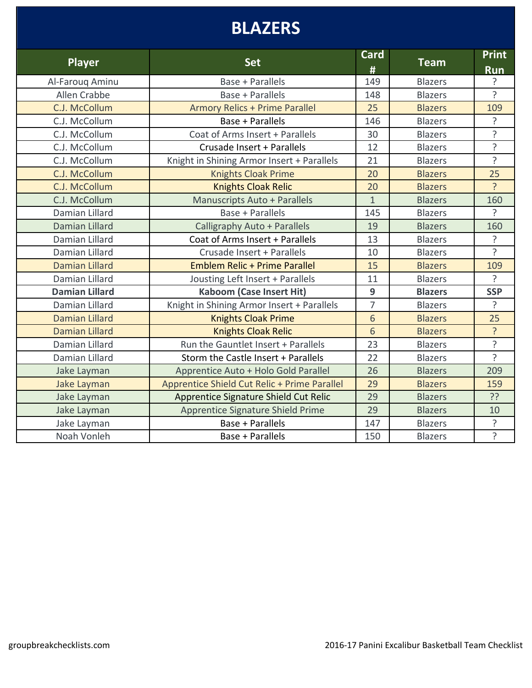## **BLAZERS**

| <b>Player</b>         | <b>Set</b>                                   | <b>Card</b><br># | <b>Team</b>    | <b>Print</b><br><b>Run</b> |
|-----------------------|----------------------------------------------|------------------|----------------|----------------------------|
| Al-Farouq Aminu       | Base + Parallels                             | 149              | <b>Blazers</b> | 5.                         |
| Allen Crabbe          | Base + Parallels                             | 148              | <b>Blazers</b> | <sup>2</sup>               |
| C.J. McCollum         | <b>Armory Relics + Prime Parallel</b>        | 25               | <b>Blazers</b> | 109                        |
| C.J. McCollum         | Base + Parallels                             | 146              | <b>Blazers</b> | $\overline{?}$             |
| C.J. McCollum         | Coat of Arms Insert + Parallels              | 30               | <b>Blazers</b> | $\overline{?}$             |
| C.J. McCollum         | Crusade Insert + Parallels                   | 12               | <b>Blazers</b> | ?                          |
| C.J. McCollum         | Knight in Shining Armor Insert + Parallels   | 21               | <b>Blazers</b> | ?                          |
| C.J. McCollum         | <b>Knights Cloak Prime</b>                   | 20               | <b>Blazers</b> | 25                         |
| C.J. McCollum         | <b>Knights Cloak Relic</b>                   | 20               | <b>Blazers</b> | $\overline{?}$             |
| C.J. McCollum         | <b>Manuscripts Auto + Parallels</b>          | $\mathbf{1}$     | <b>Blazers</b> | 160                        |
| Damian Lillard        | Base + Parallels                             | 145              | <b>Blazers</b> | <sup>2</sup>               |
| <b>Damian Lillard</b> | Calligraphy Auto + Parallels                 | 19               | <b>Blazers</b> | 160                        |
| Damian Lillard        | Coat of Arms Insert + Parallels              | 13               | <b>Blazers</b> | $\overline{?}$             |
| Damian Lillard        | Crusade Insert + Parallels                   | 10               | <b>Blazers</b> | $\overline{?}$             |
| <b>Damian Lillard</b> | Emblem Relic + Prime Parallel                | 15               | <b>Blazers</b> | 109                        |
| Damian Lillard        | Jousting Left Insert + Parallels             | 11               | <b>Blazers</b> | 5                          |
| <b>Damian Lillard</b> | <b>Kaboom (Case Insert Hit)</b>              | 9                | <b>Blazers</b> | <b>SSP</b>                 |
| Damian Lillard        | Knight in Shining Armor Insert + Parallels   | $\overline{7}$   | <b>Blazers</b> | ?                          |
| <b>Damian Lillard</b> | <b>Knights Cloak Prime</b>                   | 6                | <b>Blazers</b> | 25                         |
| <b>Damian Lillard</b> | <b>Knights Cloak Relic</b>                   | 6                | <b>Blazers</b> | ?                          |
| Damian Lillard        | Run the Gauntlet Insert + Parallels          | 23               | <b>Blazers</b> | ?                          |
| Damian Lillard        | Storm the Castle Insert + Parallels          | 22               | <b>Blazers</b> | $\overline{?}$             |
| Jake Layman           | Apprentice Auto + Holo Gold Parallel         | 26               | <b>Blazers</b> | 209                        |
| Jake Layman           | Apprentice Shield Cut Relic + Prime Parallel | 29               | <b>Blazers</b> | 159                        |
| Jake Layman           | Apprentice Signature Shield Cut Relic        | 29               | <b>Blazers</b> | ??                         |
| Jake Layman           | Apprentice Signature Shield Prime            | 29               | <b>Blazers</b> | 10                         |
| Jake Layman           | Base + Parallels                             | 147              | <b>Blazers</b> | ?                          |
| Noah Vonleh           | Base + Parallels                             | 150              | <b>Blazers</b> | ?                          |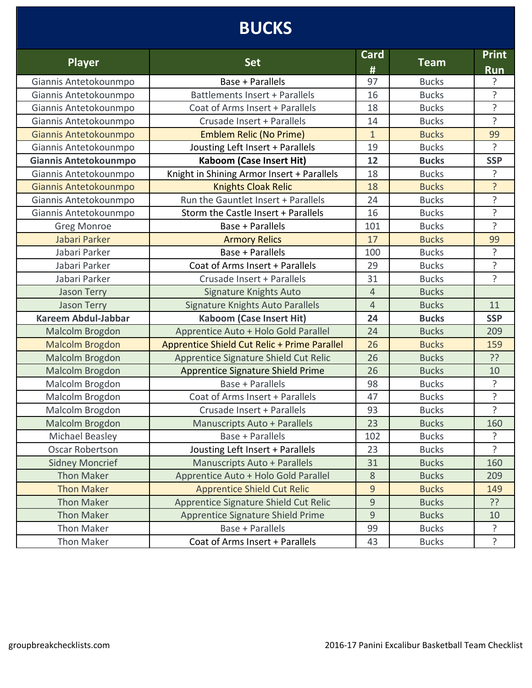## **BUCKS**

| <b>Player</b>              | <b>Set</b>                                   | <b>Card</b><br># | <b>Team</b>  | <b>Print</b><br><b>Run</b> |
|----------------------------|----------------------------------------------|------------------|--------------|----------------------------|
| Giannis Antetokounmpo      | Base + Parallels                             | 97               | <b>Bucks</b> | 5.                         |
| Giannis Antetokounmpo      | Battlements Insert + Parallels               | 16               | <b>Bucks</b> | ?                          |
| Giannis Antetokounmpo      | Coat of Arms Insert + Parallels              | 18               | <b>Bucks</b> | ?                          |
| Giannis Antetokounmpo      | Crusade Insert + Parallels                   | 14               | <b>Bucks</b> | 5                          |
| Giannis Antetokounmpo      | <b>Emblem Relic (No Prime)</b>               | $\mathbf{1}$     | <b>Bucks</b> | 99                         |
| Giannis Antetokounmpo      | Jousting Left Insert + Parallels             | 19               | <b>Bucks</b> | ?                          |
| Giannis Antetokounmpo      | <b>Kaboom (Case Insert Hit)</b>              | 12               | <b>Bucks</b> | <b>SSP</b>                 |
| Giannis Antetokounmpo      | Knight in Shining Armor Insert + Parallels   | 18               | <b>Bucks</b> | ?                          |
| Giannis Antetokounmpo      | <b>Knights Cloak Relic</b>                   | 18               | <b>Bucks</b> | ?                          |
| Giannis Antetokounmpo      | Run the Gauntlet Insert + Parallels          | 24               | <b>Bucks</b> | $\overline{?}$             |
| Giannis Antetokounmpo      | Storm the Castle Insert + Parallels          | 16               | <b>Bucks</b> | ?                          |
| <b>Greg Monroe</b>         | Base + Parallels                             | 101              | <b>Bucks</b> | ?                          |
| Jabari Parker              | <b>Armory Relics</b>                         | 17               | <b>Bucks</b> | 99                         |
| Jabari Parker              | Base + Parallels                             | 100              | <b>Bucks</b> | ?                          |
| Jabari Parker              | Coat of Arms Insert + Parallels              | 29               | <b>Bucks</b> | $\tilde{.}$                |
| Jabari Parker              | Crusade Insert + Parallels                   | 31               | <b>Bucks</b> | ?                          |
| <b>Jason Terry</b>         | Signature Knights Auto                       | $\overline{4}$   | <b>Bucks</b> |                            |
| <b>Jason Terry</b>         | Signature Knights Auto Parallels             | $\overline{4}$   | <b>Bucks</b> | 11                         |
| <b>Kareem Abdul-Jabbar</b> | <b>Kaboom (Case Insert Hit)</b>              | 24               | <b>Bucks</b> | <b>SSP</b>                 |
| Malcolm Brogdon            | Apprentice Auto + Holo Gold Parallel         | 24               | <b>Bucks</b> | 209                        |
| <b>Malcolm Brogdon</b>     | Apprentice Shield Cut Relic + Prime Parallel | 26               | <b>Bucks</b> | 159                        |
| Malcolm Brogdon            | Apprentice Signature Shield Cut Relic        | 26               | <b>Bucks</b> | ??                         |
| Malcolm Brogdon            | <b>Apprentice Signature Shield Prime</b>     | 26               | <b>Bucks</b> | 10                         |
| Malcolm Brogdon            | Base + Parallels                             | 98               | <b>Bucks</b> | ?                          |
| Malcolm Brogdon            | Coat of Arms Insert + Parallels              | 47               | <b>Bucks</b> | $\overline{?}$             |
| Malcolm Brogdon            | Crusade Insert + Parallels                   | 93               | <b>Bucks</b> | ?                          |
| Malcolm Brogdon            | <b>Manuscripts Auto + Parallels</b>          | 23               | <b>Bucks</b> | 160                        |
| Michael Beasley            | Base + Parallels                             | 102              | <b>Bucks</b> | ?                          |
| <b>Oscar Robertson</b>     | Jousting Left Insert + Parallels             | 23               | <b>Bucks</b> | Ç                          |
| <b>Sidney Moncrief</b>     | Manuscripts Auto + Parallels                 | 31               | <b>Bucks</b> | 160                        |
| <b>Thon Maker</b>          | Apprentice Auto + Holo Gold Parallel         | $8\,$            | <b>Bucks</b> | 209                        |
| <b>Thon Maker</b>          | <b>Apprentice Shield Cut Relic</b>           | 9                | <b>Bucks</b> | 149                        |
| <b>Thon Maker</b>          | Apprentice Signature Shield Cut Relic        | 9                | <b>Bucks</b> | ??                         |
| <b>Thon Maker</b>          | Apprentice Signature Shield Prime            | 9                | <b>Bucks</b> | 10                         |
| <b>Thon Maker</b>          | Base + Parallels                             | 99               | <b>Bucks</b> | ?                          |
| <b>Thon Maker</b>          | Coat of Arms Insert + Parallels              | 43               | <b>Bucks</b> | ?                          |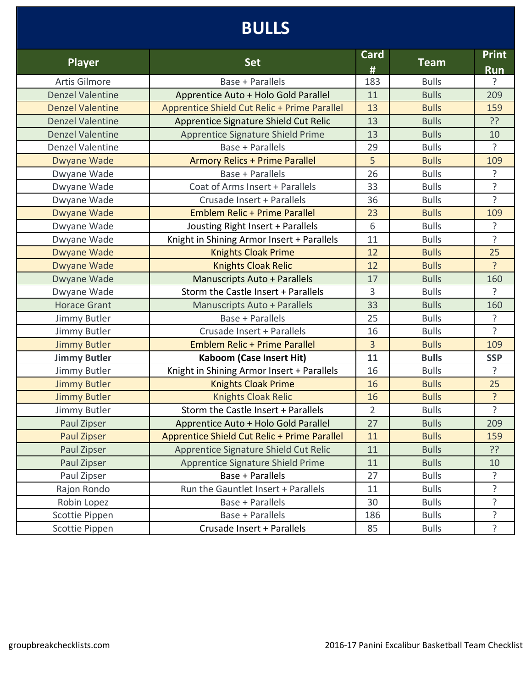## **BULLS**

| <b>Player</b>           | <b>Set</b>                                   | Card<br>#      | <b>Team</b>  | <b>Print</b><br><b>Run</b> |
|-------------------------|----------------------------------------------|----------------|--------------|----------------------------|
| <b>Artis Gilmore</b>    | Base + Parallels                             | 183            | <b>Bulls</b> | ç.                         |
| <b>Denzel Valentine</b> | Apprentice Auto + Holo Gold Parallel         | 11             | <b>Bulls</b> | 209                        |
| <b>Denzel Valentine</b> | Apprentice Shield Cut Relic + Prime Parallel | 13             | <b>Bulls</b> | 159                        |
| <b>Denzel Valentine</b> | Apprentice Signature Shield Cut Relic        | 13             | <b>Bulls</b> | ??                         |
| <b>Denzel Valentine</b> | Apprentice Signature Shield Prime            | 13             | <b>Bulls</b> | 10                         |
| <b>Denzel Valentine</b> | Base + Parallels                             | 29             | <b>Bulls</b> | ?                          |
| <b>Dwyane Wade</b>      | <b>Armory Relics + Prime Parallel</b>        | 5              | <b>Bulls</b> | 109                        |
| Dwyane Wade             | Base + Parallels                             | 26             | <b>Bulls</b> | ?                          |
| Dwyane Wade             | Coat of Arms Insert + Parallels              | 33             | <b>Bulls</b> | ?                          |
| Dwyane Wade             | Crusade Insert + Parallels                   | 36             | <b>Bulls</b> | $\tilde{?}$                |
| <b>Dwyane Wade</b>      | <b>Emblem Relic + Prime Parallel</b>         | 23             | <b>Bulls</b> | 109                        |
| Dwyane Wade             | Jousting Right Insert + Parallels            | 6              | <b>Bulls</b> | ?                          |
| Dwyane Wade             | Knight in Shining Armor Insert + Parallels   | 11             | <b>Bulls</b> | $\tilde{.}$                |
| <b>Dwyane Wade</b>      | <b>Knights Cloak Prime</b>                   | 12             | <b>Bulls</b> | 25                         |
| Dwyane Wade             | <b>Knights Cloak Relic</b>                   | 12             | <b>Bulls</b> | ?                          |
| Dwyane Wade             | <b>Manuscripts Auto + Parallels</b>          | 17             | <b>Bulls</b> | 160                        |
| Dwyane Wade             | Storm the Castle Insert + Parallels          | 3              | <b>Bulls</b> | ?                          |
| <b>Horace Grant</b>     | Manuscripts Auto + Parallels                 | 33             | <b>Bulls</b> | 160                        |
| Jimmy Butler            | Base + Parallels                             | 25             | <b>Bulls</b> | 5                          |
| Jimmy Butler            | Crusade Insert + Parallels                   | 16             | <b>Bulls</b> | 5                          |
| <b>Jimmy Butler</b>     | <b>Emblem Relic + Prime Parallel</b>         | $\overline{3}$ | <b>Bulls</b> | 109                        |
| <b>Jimmy Butler</b>     | <b>Kaboom (Case Insert Hit)</b>              | 11             | <b>Bulls</b> | <b>SSP</b>                 |
| Jimmy Butler            | Knight in Shining Armor Insert + Parallels   | 16             | <b>Bulls</b> | ?                          |
| <b>Jimmy Butler</b>     | <b>Knights Cloak Prime</b>                   | 16             | <b>Bulls</b> | 25                         |
| <b>Jimmy Butler</b>     | <b>Knights Cloak Relic</b>                   | 16             | <b>Bulls</b> | ?                          |
| Jimmy Butler            | Storm the Castle Insert + Parallels          | $\overline{2}$ | <b>Bulls</b> | $\overline{?}$             |
| Paul Zipser             | Apprentice Auto + Holo Gold Parallel         | 27             | <b>Bulls</b> | 209                        |
| Paul Zipser             | Apprentice Shield Cut Relic + Prime Parallel | 11             | <b>Bulls</b> | 159                        |
| Paul Zipser             | Apprentice Signature Shield Cut Relic        | 11             | <b>Bulls</b> | ??                         |
| Paul Zipser             | Apprentice Signature Shield Prime            | 11             | <b>Bulls</b> | 10                         |
| Paul Zipser             | Base + Parallels                             | 27             | <b>Bulls</b> | ?                          |
| Rajon Rondo             | Run the Gauntlet Insert + Parallels          | 11             | <b>Bulls</b> | ?                          |
| Robin Lopez             | <b>Base + Parallels</b>                      | 30             | <b>Bulls</b> | ?                          |
| Scottie Pippen          | <b>Base + Parallels</b>                      | 186            | <b>Bulls</b> | ?                          |
| Scottie Pippen          | Crusade Insert + Parallels                   | 85             | <b>Bulls</b> | ?                          |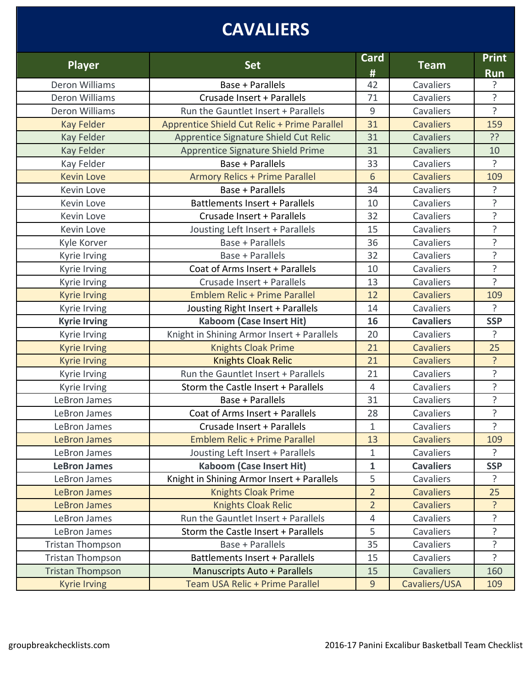# **CAVALIERS**

| <b>Player</b>           | <b>Set</b>                                   | <b>Card</b><br># | <b>Team</b>      | <b>Print</b><br><b>Run</b> |
|-------------------------|----------------------------------------------|------------------|------------------|----------------------------|
| Deron Williams          | Base + Parallels                             | 42               | Cavaliers        | ?                          |
| Deron Williams          | Crusade Insert + Parallels                   | 71               | Cavaliers        | ?                          |
| Deron Williams          | Run the Gauntlet Insert + Parallels          | 9                | Cavaliers        | $\overline{?}$             |
| <b>Kay Felder</b>       | Apprentice Shield Cut Relic + Prime Parallel | 31               | <b>Cavaliers</b> | 159                        |
| <b>Kay Felder</b>       | Apprentice Signature Shield Cut Relic        | 31               | <b>Cavaliers</b> | ??                         |
| <b>Kay Felder</b>       | Apprentice Signature Shield Prime            | 31               | <b>Cavaliers</b> | 10                         |
| Kay Felder              | <b>Base + Parallels</b>                      | 33               | Cavaliers        | ?                          |
| <b>Kevin Love</b>       | <b>Armory Relics + Prime Parallel</b>        | 6                | <b>Cavaliers</b> | 109                        |
| Kevin Love              | Base + Parallels                             | 34               | Cavaliers        | ?                          |
| Kevin Love              | <b>Battlements Insert + Parallels</b>        | 10               | Cavaliers        | 5                          |
| Kevin Love              | Crusade Insert + Parallels                   | 32               | Cavaliers        | ?                          |
| Kevin Love              | Jousting Left Insert + Parallels             | 15               | Cavaliers        | 5                          |
| Kyle Korver             | Base + Parallels                             | 36               | Cavaliers        | $\overline{?}$             |
| Kyrie Irving            | <b>Base + Parallels</b>                      | 32               | Cavaliers        | $\overline{?}$             |
| Kyrie Irving            | Coat of Arms Insert + Parallels              | 10               | Cavaliers        | ?                          |
| Kyrie Irving            | Crusade Insert + Parallels                   | 13               | Cavaliers        | 5                          |
| <b>Kyrie Irving</b>     | <b>Emblem Relic + Prime Parallel</b>         | 12               | <b>Cavaliers</b> | 109                        |
| Kyrie Irving            | Jousting Right Insert + Parallels            | 14               | Cavaliers        | $\overline{?}$             |
| <b>Kyrie Irving</b>     | <b>Kaboom (Case Insert Hit)</b>              | 16               | <b>Cavaliers</b> | <b>SSP</b>                 |
| Kyrie Irving            | Knight in Shining Armor Insert + Parallels   | 20               | Cavaliers        | ?                          |
| <b>Kyrie Irving</b>     | <b>Knights Cloak Prime</b>                   | 21               | <b>Cavaliers</b> | 25                         |
| <b>Kyrie Irving</b>     | <b>Knights Cloak Relic</b>                   | 21               | <b>Cavaliers</b> | ?                          |
| Kyrie Irving            | Run the Gauntlet Insert + Parallels          | 21               | Cavaliers        | ?                          |
| Kyrie Irving            | Storm the Castle Insert + Parallels          | $\overline{4}$   | Cavaliers        | ?                          |
| LeBron James            | Base + Parallels                             | 31               | Cavaliers        | ?                          |
| LeBron James            | Coat of Arms Insert + Parallels              | 28               | Cavaliers        | ?                          |
| LeBron James            | Crusade Insert + Parallels                   | $\mathbf{1}$     | Cavaliers        | ?                          |
| <b>LeBron James</b>     | Emblem Relic + Prime Parallel                | 13               | <b>Cavaliers</b> | 109                        |
| LeBron James            | Jousting Left Insert + Parallels             | $\mathbf{1}$     | Cavaliers        | $\overline{?}$             |
| <b>LeBron James</b>     | <b>Kaboom (Case Insert Hit)</b>              | $\mathbf 1$      | <b>Cavaliers</b> | <b>SSP</b>                 |
| LeBron James            | Knight in Shining Armor Insert + Parallels   | 5                | Cavaliers        | $\overline{?}$             |
| <b>LeBron James</b>     | <b>Knights Cloak Prime</b>                   | $\overline{2}$   | <b>Cavaliers</b> | 25                         |
| <b>LeBron James</b>     | <b>Knights Cloak Relic</b>                   | $\overline{2}$   | <b>Cavaliers</b> | ?                          |
| LeBron James            | Run the Gauntlet Insert + Parallels          | 4                | Cavaliers        | 5                          |
| LeBron James            | Storm the Castle Insert + Parallels          | 5                | Cavaliers        | <sup>2</sup>               |
| <b>Tristan Thompson</b> | Base + Parallels                             | 35               | Cavaliers        | ?                          |
| <b>Tristan Thompson</b> | <b>Battlements Insert + Parallels</b>        | 15               | Cavaliers        | $\overline{?}$             |
| <b>Tristan Thompson</b> | <b>Manuscripts Auto + Parallels</b>          | 15               | <b>Cavaliers</b> | 160                        |
| <b>Kyrie Irving</b>     | Team USA Relic + Prime Parallel              | $\overline{9}$   | Cavaliers/USA    | 109                        |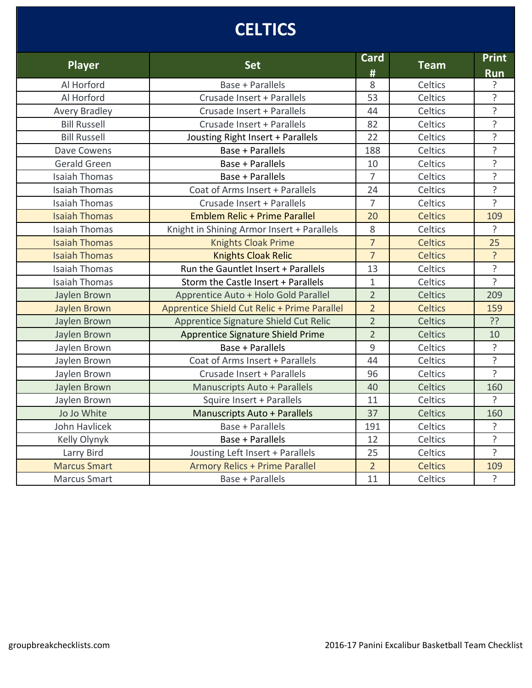# **CELTICS**

| <b>Player</b>        | <b>Set</b>                                   | <b>Card</b><br># | <b>Team</b>    | <b>Print</b><br><b>Run</b> |
|----------------------|----------------------------------------------|------------------|----------------|----------------------------|
| Al Horford           | Base + Parallels                             | 8                | Celtics        | ?                          |
| Al Horford           | Crusade Insert + Parallels                   | 53               | Celtics        | $\overline{?}$             |
| <b>Avery Bradley</b> | Crusade Insert + Parallels                   | 44               | Celtics        | $\overline{?}$             |
| <b>Bill Russell</b>  | Crusade Insert + Parallels                   | 82               | Celtics        | ?                          |
| <b>Bill Russell</b>  | Jousting Right Insert + Parallels            | 22               | Celtics        | $\overline{?}$             |
| Dave Cowens          | Base + Parallels                             | 188              | Celtics        | $\overline{?}$             |
| Gerald Green         | Base + Parallels                             | 10               | Celtics        | $\overline{?}$             |
| <b>Isaiah Thomas</b> | <b>Base + Parallels</b>                      | $\overline{7}$   | Celtics        | ?                          |
| <b>Isaiah Thomas</b> | Coat of Arms Insert + Parallels              | 24               | Celtics        | $\overline{?}$             |
| <b>Isaiah Thomas</b> | Crusade Insert + Parallels                   | $\overline{7}$   | Celtics        | <sup>2</sup>               |
| <b>Isaiah Thomas</b> | <b>Emblem Relic + Prime Parallel</b>         | 20               | <b>Celtics</b> | 109                        |
| <b>Isaiah Thomas</b> | Knight in Shining Armor Insert + Parallels   | 8                | Celtics        | ?                          |
| <b>Isaiah Thomas</b> | <b>Knights Cloak Prime</b>                   | $\overline{7}$   | <b>Celtics</b> | 25                         |
| <b>Isaiah Thomas</b> | <b>Knights Cloak Relic</b>                   | $\overline{7}$   | <b>Celtics</b> | ?                          |
| <b>Isaiah Thomas</b> | Run the Gauntlet Insert + Parallels          | 13               | Celtics        | ?                          |
| <b>Isaiah Thomas</b> | Storm the Castle Insert + Parallels          | $\mathbf{1}$     | Celtics        | $\overline{?}$             |
| Jaylen Brown         | Apprentice Auto + Holo Gold Parallel         | $\overline{2}$   | <b>Celtics</b> | 209                        |
| Jaylen Brown         | Apprentice Shield Cut Relic + Prime Parallel | $\overline{2}$   | <b>Celtics</b> | 159                        |
| Jaylen Brown         | Apprentice Signature Shield Cut Relic        | $\overline{2}$   | Celtics        | ??                         |
| Jaylen Brown         | Apprentice Signature Shield Prime            | $\overline{2}$   | Celtics        | 10                         |
| Jaylen Brown         | <b>Base + Parallels</b>                      | 9                | Celtics        | ?                          |
| Jaylen Brown         | Coat of Arms Insert + Parallels              | 44               | Celtics        | $\overline{?}$             |
| Jaylen Brown         | Crusade Insert + Parallels                   | 96               | Celtics        | $\tilde{?}$                |
| Jaylen Brown         | <b>Manuscripts Auto + Parallels</b>          | 40               | <b>Celtics</b> | 160                        |
| Jaylen Brown         | Squire Insert + Parallels                    | 11               | Celtics        | 5                          |
| Jo Jo White          | <b>Manuscripts Auto + Parallels</b>          | 37               | <b>Celtics</b> | 160                        |
| John Havlicek        | <b>Base + Parallels</b>                      | 191              | Celtics        | ?                          |
| Kelly Olynyk         | Base + Parallels                             | 12               | Celtics        | $\overline{?}$             |
| Larry Bird           | Jousting Left Insert + Parallels             | 25               | Celtics        | $\overline{?}$             |
| <b>Marcus Smart</b>  | <b>Armory Relics + Prime Parallel</b>        | $\overline{2}$   | <b>Celtics</b> | 109                        |
| <b>Marcus Smart</b>  | <b>Base + Parallels</b>                      | 11               | Celtics        | ?                          |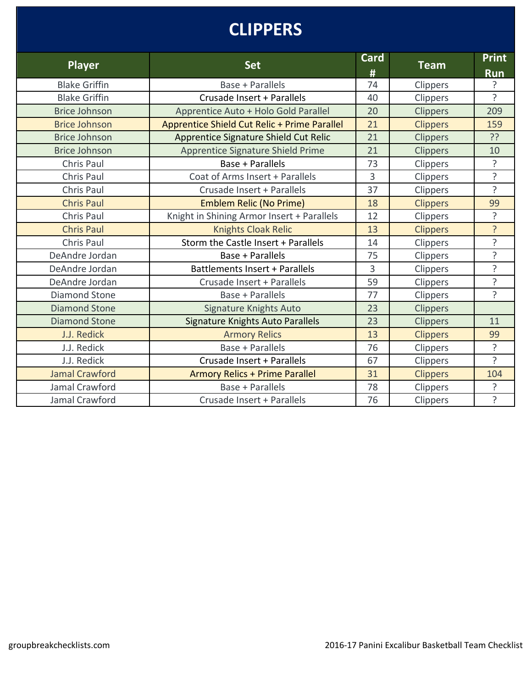# **CLIPPERS**

| <b>Player</b>         | <b>Set</b>                                   | Card<br># | <b>Team</b>     | <b>Print</b><br><b>Run</b> |
|-----------------------|----------------------------------------------|-----------|-----------------|----------------------------|
| <b>Blake Griffin</b>  | Base + Parallels                             | 74        | Clippers        | 5.                         |
| <b>Blake Griffin</b>  | Crusade Insert + Parallels                   | 40        | Clippers        | 5                          |
| <b>Brice Johnson</b>  | Apprentice Auto + Holo Gold Parallel         | 20        | <b>Clippers</b> | 209                        |
| <b>Brice Johnson</b>  | Apprentice Shield Cut Relic + Prime Parallel | 21        | <b>Clippers</b> | 159                        |
| <b>Brice Johnson</b>  | Apprentice Signature Shield Cut Relic        | 21        | <b>Clippers</b> | ??                         |
| <b>Brice Johnson</b>  | Apprentice Signature Shield Prime            | 21        | Clippers        | 10                         |
| Chris Paul            | Base + Parallels                             | 73        | Clippers        | ?                          |
| Chris Paul            | Coat of Arms Insert + Parallels              | 3         | Clippers        | ?                          |
| Chris Paul            | Crusade Insert + Parallels                   | 37        | Clippers        | ς                          |
| <b>Chris Paul</b>     | <b>Emblem Relic (No Prime)</b>               | 18        | <b>Clippers</b> | 99                         |
| Chris Paul            | Knight in Shining Armor Insert + Parallels   | 12        | Clippers        | 5                          |
| <b>Chris Paul</b>     | <b>Knights Cloak Relic</b>                   | 13        | <b>Clippers</b> | ?                          |
| Chris Paul            | Storm the Castle Insert + Parallels          | 14        | Clippers        | ?                          |
| DeAndre Jordan        | Base + Parallels                             | 75        | <b>Clippers</b> | <sup>2</sup>               |
| DeAndre Jordan        | Battlements Insert + Parallels               | 3         | Clippers        | ?                          |
| DeAndre Jordan        | Crusade Insert + Parallels                   | 59        | Clippers        | ?                          |
| <b>Diamond Stone</b>  | Base + Parallels                             | 77        | Clippers        | 5                          |
| <b>Diamond Stone</b>  | <b>Signature Knights Auto</b>                | 23        | Clippers        |                            |
| <b>Diamond Stone</b>  | Signature Knights Auto Parallels             | 23        | Clippers        | 11                         |
| J.J. Redick           | <b>Armory Relics</b>                         | 13        | <b>Clippers</b> | 99                         |
| J.J. Redick           | Base + Parallels                             | 76        | Clippers        | ?                          |
| J.J. Redick           | Crusade Insert + Parallels                   | 67        | Clippers        | 5                          |
| <b>Jamal Crawford</b> | <b>Armory Relics + Prime Parallel</b>        | 31        | <b>Clippers</b> | 104                        |
| Jamal Crawford        | Base + Parallels                             | 78        | Clippers        | ?                          |
| Jamal Crawford        | Crusade Insert + Parallels                   | 76        | Clippers        | <sup>2</sup>               |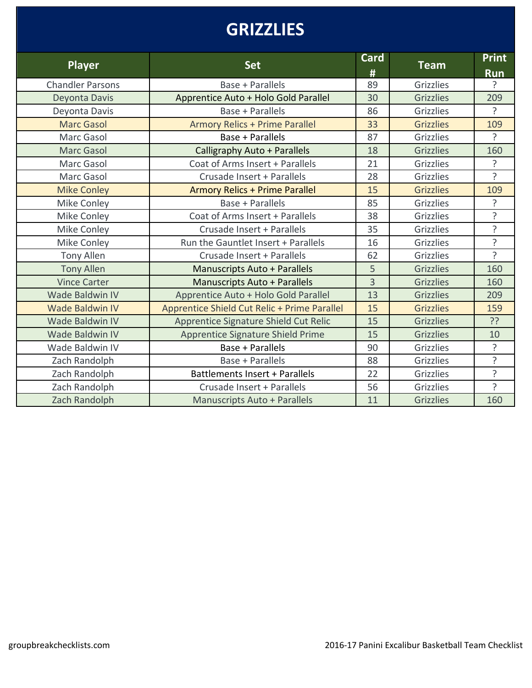## **GRIZZLIES**

| <b>Player</b>           | <b>Set</b>                                   | <b>Card</b><br># | <b>Team</b>      | <b>Print</b><br><b>Run</b> |
|-------------------------|----------------------------------------------|------------------|------------------|----------------------------|
| <b>Chandler Parsons</b> | Base + Parallels                             | 89               | Grizzlies        | 5.                         |
| Deyonta Davis           | Apprentice Auto + Holo Gold Parallel         | 30               | <b>Grizzlies</b> | 209                        |
| Deyonta Davis           | Base + Parallels                             | 86               | Grizzlies        | ?                          |
| <b>Marc Gasol</b>       | <b>Armory Relics + Prime Parallel</b>        | 33               | <b>Grizzlies</b> | 109                        |
| Marc Gasol              | Base + Parallels                             | 87               | Grizzlies        | $\overline{?}$             |
| <b>Marc Gasol</b>       | Calligraphy Auto + Parallels                 | 18               | <b>Grizzlies</b> | 160                        |
| Marc Gasol              | Coat of Arms Insert + Parallels              | 21               | <b>Grizzlies</b> | ?                          |
| Marc Gasol              | Crusade Insert + Parallels                   | 28               | <b>Grizzlies</b> | ?                          |
| <b>Mike Conley</b>      | <b>Armory Relics + Prime Parallel</b>        | 15               | <b>Grizzlies</b> | 109                        |
| Mike Conley             | Base + Parallels                             | 85               | Grizzlies        | ?                          |
| Mike Conley             | Coat of Arms Insert + Parallels              | 38               | Grizzlies        | 5                          |
| Mike Conley             | Crusade Insert + Parallels                   | 35               | Grizzlies        | ?                          |
| Mike Conley             | Run the Gauntlet Insert + Parallels          | 16               | <b>Grizzlies</b> | $\overline{?}$             |
| Tony Allen              | Crusade Insert + Parallels                   | 62               | <b>Grizzlies</b> | <sub>2</sub>               |
| <b>Tony Allen</b>       | <b>Manuscripts Auto + Parallels</b>          | 5                | <b>Grizzlies</b> | 160                        |
| <b>Vince Carter</b>     | <b>Manuscripts Auto + Parallels</b>          | $\overline{3}$   | <b>Grizzlies</b> | 160                        |
| <b>Wade Baldwin IV</b>  | Apprentice Auto + Holo Gold Parallel         | 13               | <b>Grizzlies</b> | 209                        |
| <b>Wade Baldwin IV</b>  | Apprentice Shield Cut Relic + Prime Parallel | 15               | <b>Grizzlies</b> | 159                        |
| Wade Baldwin IV         | Apprentice Signature Shield Cut Relic        | 15               | <b>Grizzlies</b> | ??                         |
| <b>Wade Baldwin IV</b>  | Apprentice Signature Shield Prime            | 15               | <b>Grizzlies</b> | 10                         |
| Wade Baldwin IV         | Base + Parallels                             | 90               | <b>Grizzlies</b> | ?                          |
| Zach Randolph           | Base + Parallels                             | 88               | Grizzlies        | ?                          |
| Zach Randolph           | Battlements Insert + Parallels               | 22               | <b>Grizzlies</b> | ?                          |
| Zach Randolph           | Crusade Insert + Parallels                   | 56               | Grizzlies        | ?                          |
| Zach Randolph           | <b>Manuscripts Auto + Parallels</b>          | 11               | <b>Grizzlies</b> | 160                        |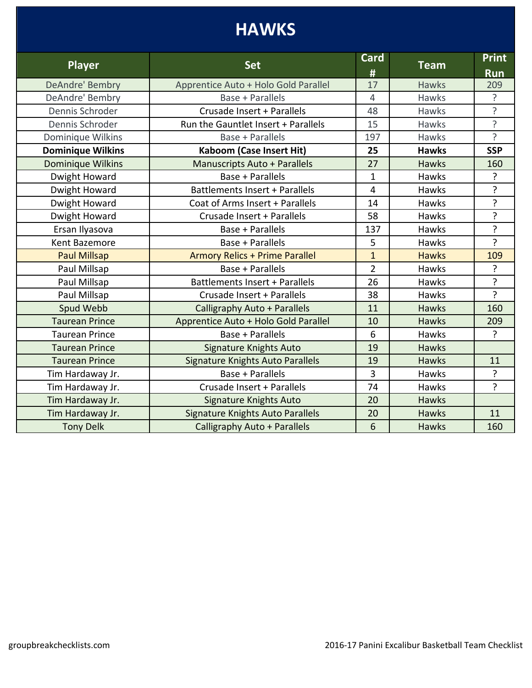# **HAWKS**

| <b>Player</b>            | <b>Set</b>                              | Card<br>#      | <b>Team</b>  | <b>Print</b><br><b>Run</b> |
|--------------------------|-----------------------------------------|----------------|--------------|----------------------------|
| DeAndre' Bembry          | Apprentice Auto + Holo Gold Parallel    | 17             | <b>Hawks</b> | 209                        |
| DeAndre' Bembry          | Base + Parallels                        | $\overline{4}$ | <b>Hawks</b> | ?                          |
| Dennis Schroder          | Crusade Insert + Parallels              | 48             | <b>Hawks</b> | ?                          |
| Dennis Schroder          | Run the Gauntlet Insert + Parallels     | 15             | Hawks        | ?                          |
| Dominique Wilkins        | <b>Base + Parallels</b>                 | 197            | Hawks        | ?                          |
| <b>Dominique Wilkins</b> | <b>Kaboom (Case Insert Hit)</b>         | 25             | <b>Hawks</b> | <b>SSP</b>                 |
| Dominique Wilkins        | <b>Manuscripts Auto + Parallels</b>     | 27             | <b>Hawks</b> | 160                        |
| Dwight Howard            | Base + Parallels                        | $\mathbf{1}$   | <b>Hawks</b> | ?                          |
| Dwight Howard            | <b>Battlements Insert + Parallels</b>   | $\overline{4}$ | Hawks        | ?                          |
| Dwight Howard            | Coat of Arms Insert + Parallels         | 14             | <b>Hawks</b> | ?                          |
| Dwight Howard            | Crusade Insert + Parallels              | 58             | Hawks        | ?                          |
| Ersan Ilyasova           | Base + Parallels                        | 137            | Hawks        | ?                          |
| Kent Bazemore            | Base + Parallels                        | 5              | <b>Hawks</b> | $\overline{?}$             |
| <b>Paul Millsap</b>      | <b>Armory Relics + Prime Parallel</b>   | $\overline{1}$ | <b>Hawks</b> | 109                        |
| Paul Millsap             | Base + Parallels                        | $\overline{2}$ | <b>Hawks</b> | ?                          |
| Paul Millsap             | Battlements Insert + Parallels          | 26             | Hawks        | ŗ                          |
| Paul Millsap             | Crusade Insert + Parallels              | 38             | <b>Hawks</b> | ?                          |
| Spud Webb                | Calligraphy Auto + Parallels            | 11             | Hawks        | 160                        |
| <b>Taurean Prince</b>    | Apprentice Auto + Holo Gold Parallel    | 10             | Hawks        | 209                        |
| <b>Taurean Prince</b>    | Base + Parallels                        | 6              | Hawks        | ?                          |
| <b>Taurean Prince</b>    | <b>Signature Knights Auto</b>           | 19             | <b>Hawks</b> |                            |
| <b>Taurean Prince</b>    | <b>Signature Knights Auto Parallels</b> | 19             | <b>Hawks</b> | 11                         |
| Tim Hardaway Jr.         | Base + Parallels                        | 3              | <b>Hawks</b> | ?                          |
| Tim Hardaway Jr.         | Crusade Insert + Parallels              | 74             | <b>Hawks</b> | $\overline{?}$             |
| Tim Hardaway Jr.         | Signature Knights Auto                  | 20             | <b>Hawks</b> |                            |
| Tim Hardaway Jr.         | <b>Signature Knights Auto Parallels</b> | 20             | <b>Hawks</b> | 11                         |
| <b>Tony Delk</b>         | Calligraphy Auto + Parallels            | 6              | Hawks        | 160                        |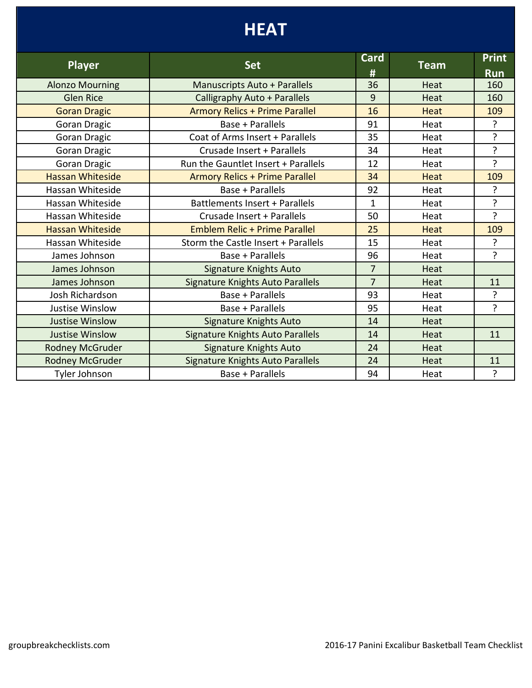## **HEAT**

| <b>Player</b>           | <b>Set</b>                              | Card           | <b>Team</b> | <b>Print</b>   |
|-------------------------|-----------------------------------------|----------------|-------------|----------------|
|                         |                                         | #              |             | <b>Run</b>     |
| <b>Alonzo Mourning</b>  | <b>Manuscripts Auto + Parallels</b>     | 36             | Heat        | 160            |
| <b>Glen Rice</b>        | Calligraphy Auto + Parallels            | 9              | Heat        | 160            |
| <b>Goran Dragic</b>     | <b>Armory Relics + Prime Parallel</b>   | 16             | Heat        | 109            |
| <b>Goran Dragic</b>     | Base + Parallels                        | 91             | Heat        | ?              |
| <b>Goran Dragic</b>     | Coat of Arms Insert + Parallels         | 35             | Heat        | 5.             |
| <b>Goran Dragic</b>     | Crusade Insert + Parallels              | 34             | Heat        | ?              |
| Goran Dragic            | Run the Gauntlet Insert + Parallels     | 12             | Heat        | ?              |
| <b>Hassan Whiteside</b> | <b>Armory Relics + Prime Parallel</b>   | 34             | Heat        | 109            |
| Hassan Whiteside        | Base + Parallels                        | 92             | Heat        | ?              |
| Hassan Whiteside        | Battlements Insert + Parallels          | 1              | Heat        | ?              |
| Hassan Whiteside        | Crusade Insert + Parallels              | 50             | Heat        | $\overline{?}$ |
| <b>Hassan Whiteside</b> | <b>Emblem Relic + Prime Parallel</b>    | 25             | Heat        | 109            |
| Hassan Whiteside        | Storm the Castle Insert + Parallels     | 15             | Heat        | ?              |
| James Johnson           | Base + Parallels                        | 96             | Heat        | ς              |
| James Johnson           | Signature Knights Auto                  | $\overline{7}$ | Heat        |                |
| James Johnson           | <b>Signature Knights Auto Parallels</b> | $\overline{7}$ | Heat        | 11             |
| Josh Richardson         | Base + Parallels                        | 93             | Heat        | ?              |
| <b>Justise Winslow</b>  | Base + Parallels                        | 95             | Heat        | 2              |
| <b>Justise Winslow</b>  | Signature Knights Auto                  | 14             | Heat        |                |
| <b>Justise Winslow</b>  | <b>Signature Knights Auto Parallels</b> | 14             | Heat        | 11             |
| <b>Rodney McGruder</b>  | Signature Knights Auto                  | 24             | Heat        |                |
| Rodney McGruder         | <b>Signature Knights Auto Parallels</b> | 24             | Heat        | 11             |
| Tyler Johnson           | Base + Parallels                        | 94             | Heat        | ?              |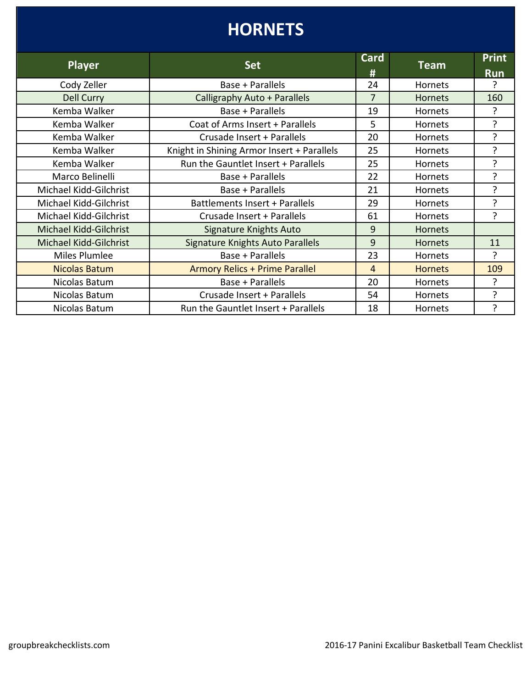#### **Player Card Card Card Card Card Card Card Card Card Card Card Card Card Card Card Card Card Card Card Card Card Card Card Card Card Card Card Card Card Card Ca**  $\frac{\textit{#}}{24}$ **Team Print Run** Cody Zeller **Cody 24 Hornets Base + Parallels** 24 | Hornets Dell Curry **No. 160** Calligraphy Auto + Parallels **17** | Hornets | 160 Kemba Walker The Character Base + Parallels The Manuscript 19 Hornets The ? Kemba Walker Coat of Arms Insert + Parallels 5 Hornets ? Kemba Walker **No. 1. Crusade Insert + Parallels** Parallels **Parallels** 20 Hornets 2 Kemba Walker Knight in Shining Armor Insert + Parallels  $\begin{array}{|c|c|c|c|c|c|} \hline \end{array}$  Hornets  $\begin{array}{|c|c|c|c|c|c|c|c|} \hline \end{array}$ Kemba Walker Run the Gauntlet Insert + Parallels 25 Hornets ? Marco Belinelli  $\begin{array}{ccc} \hline \end{array}$  Base + Parallels 22 Hornets ? Michael Kidd-Gilchrist | Base + Parallels | 21 | Hornets | ? Michael Kidd-Gilchrist | Battlements Insert + Parallels | 29 | Hornets | ? Michael Kidd-Gilchrist | Crusade Insert + Parallels | 61 | Hornets | ? Michael Kidd-Gilchrist | Signature Knights Auto | 9 | Hornets Michael Kidd-Gilchrist | Signature Knights Auto Parallels | 9 | Hornets | 11 Miles Plumlee The Rase + Parallels Parallels 23 Hornets Parallels ? Nicolas Batum Relics + Prime Parallel 109 Nicolas Batum | Base + Parallels | 20 | Hornets | ? Nicolas Batum The Crusade Insert + Parallels The SA Hornets The Process Returns 2 Nicolas Batum Run the Gauntlet Insert + Parallels 18 Hornets ? **HORNETS**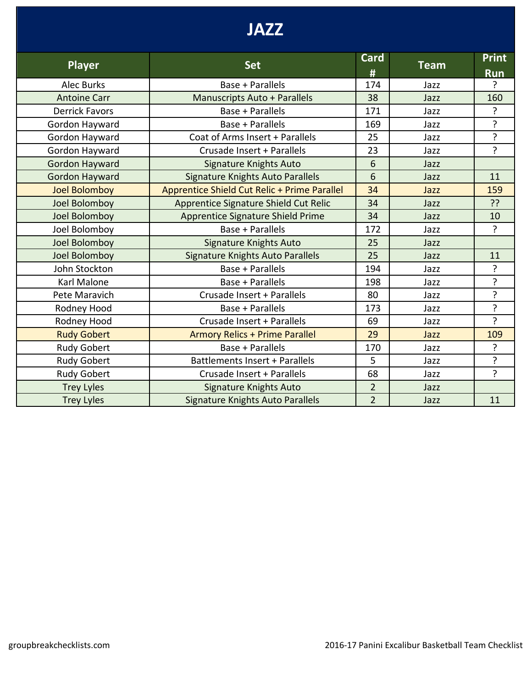## **JAZZ**

| <b>Player</b>         | <b>Set</b>                                   | <b>Card</b>    | <b>Team</b> | <b>Print</b>   |
|-----------------------|----------------------------------------------|----------------|-------------|----------------|
|                       |                                              | #              |             | <b>Run</b>     |
| <b>Alec Burks</b>     | Base + Parallels                             | 174            | Jazz        | 5.             |
| <b>Antoine Carr</b>   | Manuscripts Auto + Parallels                 | 38             | Jazz        | 160            |
| <b>Derrick Favors</b> | Base + Parallels                             | 171            | Jazz        | ?              |
| Gordon Hayward        | Base + Parallels                             | 169            | Jazz        | $\overline{?}$ |
| Gordon Hayward        | Coat of Arms Insert + Parallels              | 25             | Jazz        | ?              |
| Gordon Hayward        | Crusade Insert + Parallels                   | 23             | Jazz        | ?              |
| Gordon Hayward        | Signature Knights Auto                       | 6              | Jazz        |                |
| <b>Gordon Hayward</b> | <b>Signature Knights Auto Parallels</b>      | 6              | Jazz        | 11             |
| <b>Joel Bolomboy</b>  | Apprentice Shield Cut Relic + Prime Parallel | 34             | Jazz        | 159            |
| Joel Bolomboy         | Apprentice Signature Shield Cut Relic        | 34             | Jazz        | ??             |
| Joel Bolomboy         | Apprentice Signature Shield Prime            | 34             | Jazz        | 10             |
| Joel Bolomboy         | Base + Parallels                             | 172            | Jazz        | ?              |
| Joel Bolomboy         | <b>Signature Knights Auto</b>                | 25             | Jazz        |                |
| Joel Bolomboy         | Signature Knights Auto Parallels             | 25             | Jazz        | 11             |
| John Stockton         | Base + Parallels                             | 194            | Jazz        | ?              |
| Karl Malone           | Base + Parallels                             | 198            | Jazz        | ?              |
| Pete Maravich         | Crusade Insert + Parallels                   | 80             | Jazz        | ?              |
| Rodney Hood           | Base + Parallels                             | 173            | Jazz        | ?              |
| Rodney Hood           | Crusade Insert + Parallels                   | 69             | Jazz        | $\mathbf{P}$   |
| <b>Rudy Gobert</b>    | <b>Armory Relics + Prime Parallel</b>        | 29             | Jazz        | 109            |
| Rudy Gobert           | Base + Parallels                             | 170            | Jazz        | 5.             |
| <b>Rudy Gobert</b>    | Battlements Insert + Parallels               | 5              | Jazz        | ŗ              |
| <b>Rudy Gobert</b>    | Crusade Insert + Parallels                   | 68             | Jazz        | $\overline{?}$ |
| <b>Trey Lyles</b>     | <b>Signature Knights Auto</b>                | $\overline{2}$ | Jazz        |                |
| <b>Trey Lyles</b>     | Signature Knights Auto Parallels             | $\overline{2}$ | Jazz        | 11             |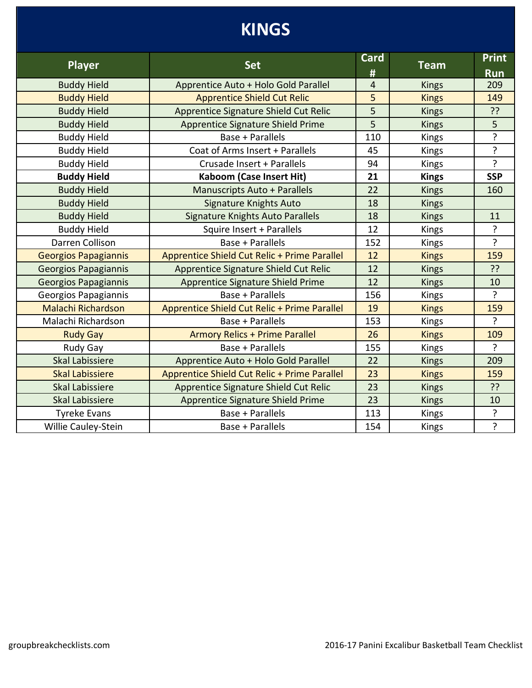## **KINGS**

| <b>Player</b>               | <b>Set</b>                                   | <b>Card</b><br># | <b>Team</b>  | <b>Print</b><br><b>Run</b> |
|-----------------------------|----------------------------------------------|------------------|--------------|----------------------------|
| <b>Buddy Hield</b>          | Apprentice Auto + Holo Gold Parallel         | $\overline{4}$   | <b>Kings</b> | 209                        |
| <b>Buddy Hield</b>          | <b>Apprentice Shield Cut Relic</b>           | 5                | <b>Kings</b> | 149                        |
| <b>Buddy Hield</b>          | Apprentice Signature Shield Cut Relic        | 5                | <b>Kings</b> | ??                         |
| <b>Buddy Hield</b>          | <b>Apprentice Signature Shield Prime</b>     | 5                | <b>Kings</b> | 5                          |
| <b>Buddy Hield</b>          | Base + Parallels                             | 110              | <b>Kings</b> | ?                          |
| <b>Buddy Hield</b>          | Coat of Arms Insert + Parallels              | 45               | Kings        | ?                          |
| <b>Buddy Hield</b>          | Crusade Insert + Parallels                   | 94               | Kings        | $\mathbf{P}$               |
| <b>Buddy Hield</b>          | <b>Kaboom (Case Insert Hit)</b>              | 21               | <b>Kings</b> | <b>SSP</b>                 |
| <b>Buddy Hield</b>          | <b>Manuscripts Auto + Parallels</b>          | 22               | <b>Kings</b> | 160                        |
| <b>Buddy Hield</b>          | Signature Knights Auto                       | 18               | <b>Kings</b> |                            |
| <b>Buddy Hield</b>          | <b>Signature Knights Auto Parallels</b>      | 18               | <b>Kings</b> | 11                         |
| <b>Buddy Hield</b>          | Squire Insert + Parallels                    | 12               | <b>Kings</b> | ?                          |
| Darren Collison             | Base + Parallels                             | 152              | <b>Kings</b> | $\overline{?}$             |
| <b>Georgios Papagiannis</b> | Apprentice Shield Cut Relic + Prime Parallel | 12               | <b>Kings</b> | 159                        |
| Georgios Papagiannis        | Apprentice Signature Shield Cut Relic        | 12               | <b>Kings</b> | ??                         |
| <b>Georgios Papagiannis</b> | Apprentice Signature Shield Prime            | 12               | <b>Kings</b> | 10                         |
| Georgios Papagiannis        | Base + Parallels                             | 156              | Kings        | ?                          |
| <b>Malachi Richardson</b>   | Apprentice Shield Cut Relic + Prime Parallel | 19               | <b>Kings</b> | 159                        |
| Malachi Richardson          | Base + Parallels                             | 153              | Kings        | ?                          |
| <b>Rudy Gay</b>             | <b>Armory Relics + Prime Parallel</b>        | 26               | <b>Kings</b> | 109                        |
| Rudy Gay                    | Base + Parallels                             | 155              | Kings        | ?                          |
| <b>Skal Labissiere</b>      | Apprentice Auto + Holo Gold Parallel         | 22               | <b>Kings</b> | 209                        |
| <b>Skal Labissiere</b>      | Apprentice Shield Cut Relic + Prime Parallel | 23               | <b>Kings</b> | 159                        |
| <b>Skal Labissiere</b>      | Apprentice Signature Shield Cut Relic        | 23               | <b>Kings</b> | ??                         |
| <b>Skal Labissiere</b>      | Apprentice Signature Shield Prime            | 23               | <b>Kings</b> | 10                         |
| <b>Tyreke Evans</b>         | Base + Parallels                             | 113              | Kings        | ?                          |
| Willie Cauley-Stein         | Base + Parallels                             | 154              | <b>Kings</b> | ?                          |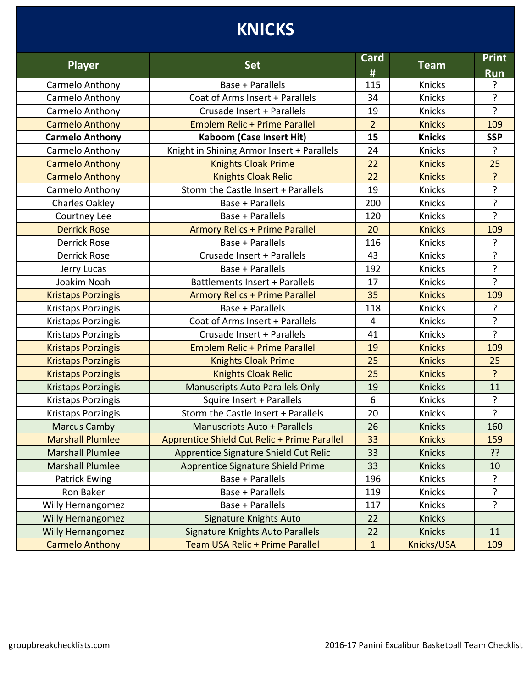# **KNICKS**

| <b>Player</b>             | <b>Set</b>                                   | Card<br>#      | <b>Team</b>   | <b>Print</b><br><b>Run</b> |
|---------------------------|----------------------------------------------|----------------|---------------|----------------------------|
| Carmelo Anthony           | Base + Parallels                             | 115            | Knicks        | ?                          |
| Carmelo Anthony           | Coat of Arms Insert + Parallels              | 34             | <b>Knicks</b> | ?                          |
| Carmelo Anthony           | Crusade Insert + Parallels                   | 19             | Knicks        | ?                          |
| <b>Carmelo Anthony</b>    | <b>Emblem Relic + Prime Parallel</b>         | $\overline{2}$ | <b>Knicks</b> | 109                        |
| <b>Carmelo Anthony</b>    | <b>Kaboom (Case Insert Hit)</b>              | 15             | <b>Knicks</b> | <b>SSP</b>                 |
| Carmelo Anthony           | Knight in Shining Armor Insert + Parallels   | 24             | <b>Knicks</b> | $\overline{?}$             |
| <b>Carmelo Anthony</b>    | <b>Knights Cloak Prime</b>                   | 22             | <b>Knicks</b> | 25                         |
| <b>Carmelo Anthony</b>    | <b>Knights Cloak Relic</b>                   | 22             | <b>Knicks</b> | ?                          |
| Carmelo Anthony           | Storm the Castle Insert + Parallels          | 19             | Knicks        | ?                          |
| Charles Oakley            | Base + Parallels                             | 200            | Knicks        | ?                          |
| Courtney Lee              | Base + Parallels                             | 120            | <b>Knicks</b> | ?                          |
| <b>Derrick Rose</b>       | <b>Armory Relics + Prime Parallel</b>        | 20             | <b>Knicks</b> | 109                        |
| <b>Derrick Rose</b>       | Base + Parallels                             | 116            | <b>Knicks</b> | $\overline{?}$             |
| <b>Derrick Rose</b>       | Crusade Insert + Parallels                   | 43             | <b>Knicks</b> | ?                          |
| Jerry Lucas               | Base + Parallels                             | 192            | <b>Knicks</b> | $\overline{?}$             |
| Joakim Noah               | Battlements Insert + Parallels               | 17             | Knicks        | $\overline{?}$             |
| <b>Kristaps Porzingis</b> | <b>Armory Relics + Prime Parallel</b>        | 35             | <b>Knicks</b> | 109                        |
| Kristaps Porzingis        | Base + Parallels                             | 118            | Knicks        | ?                          |
| Kristaps Porzingis        | Coat of Arms Insert + Parallels              | $\overline{4}$ | <b>Knicks</b> | $\overline{?}$             |
| Kristaps Porzingis        | Crusade Insert + Parallels                   | 41             | Knicks        | $\overline{?}$             |
| <b>Kristaps Porzingis</b> | <b>Emblem Relic + Prime Parallel</b>         | 19             | <b>Knicks</b> | 109                        |
| <b>Kristaps Porzingis</b> | <b>Knights Cloak Prime</b>                   | 25             | <b>Knicks</b> | 25                         |
| <b>Kristaps Porzingis</b> | <b>Knights Cloak Relic</b>                   | 25             | <b>Knicks</b> | ?                          |
| <b>Kristaps Porzingis</b> | <b>Manuscripts Auto Parallels Only</b>       | 19             | <b>Knicks</b> | 11                         |
| Kristaps Porzingis        | Squire Insert + Parallels                    | 6              | Knicks        | ?                          |
| Kristaps Porzingis        | Storm the Castle Insert + Parallels          | 20             | Knicks        | $\overline{?}$             |
| <b>Marcus Camby</b>       | <b>Manuscripts Auto + Parallels</b>          | 26             | <b>Knicks</b> | 160                        |
| <b>Marshall Plumlee</b>   | Apprentice Shield Cut Relic + Prime Parallel | 33             | <b>Knicks</b> | 159                        |
| <b>Marshall Plumlee</b>   | Apprentice Signature Shield Cut Relic        | 33             | <b>Knicks</b> | ??                         |
| <b>Marshall Plumlee</b>   | Apprentice Signature Shield Prime            | 33             | <b>Knicks</b> | 10                         |
| Patrick Ewing             | Base + Parallels                             | 196            | Knicks        | ?                          |
| Ron Baker                 | Base + Parallels                             | 119            | Knicks        | ?                          |
| <b>Willy Hernangomez</b>  | Base + Parallels                             | 117            | Knicks        | $\mathbf{S}$               |
| <b>Willy Hernangomez</b>  | <b>Signature Knights Auto</b>                | 22             | <b>Knicks</b> |                            |
| <b>Willy Hernangomez</b>  | Signature Knights Auto Parallels             | 22             | <b>Knicks</b> | 11                         |
| <b>Carmelo Anthony</b>    | Team USA Relic + Prime Parallel              | $\mathbf{1}$   | Knicks/USA    | 109                        |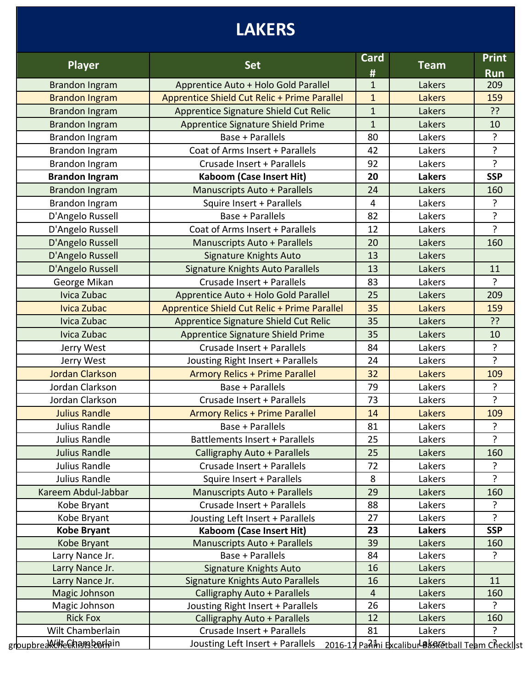# **LAKERS**

| <b>Player</b>                          | <b>Set</b>                                   | Card<br>#      | <b>Team</b>                                       | <b>Print</b><br><b>Run</b> |
|----------------------------------------|----------------------------------------------|----------------|---------------------------------------------------|----------------------------|
| <b>Brandon Ingram</b>                  | Apprentice Auto + Holo Gold Parallel         | $\mathbf{1}$   | Lakers                                            | 209                        |
| <b>Brandon Ingram</b>                  | Apprentice Shield Cut Relic + Prime Parallel | $\mathbf{1}$   | Lakers                                            | 159                        |
| <b>Brandon Ingram</b>                  | Apprentice Signature Shield Cut Relic        | $\mathbf{1}$   | Lakers                                            | ??                         |
| <b>Brandon Ingram</b>                  | <b>Apprentice Signature Shield Prime</b>     | $\mathbf{1}$   | Lakers                                            | 10                         |
| Brandon Ingram                         | Base + Parallels                             | 80             | Lakers                                            | ?                          |
| <b>Brandon Ingram</b>                  | Coat of Arms Insert + Parallels              | 42             | Lakers                                            | ?                          |
| Brandon Ingram                         | Crusade Insert + Parallels                   | 92             | Lakers                                            | ?                          |
| <b>Brandon Ingram</b>                  | <b>Kaboom (Case Insert Hit)</b>              | 20             | <b>Lakers</b>                                     | <b>SSP</b>                 |
| <b>Brandon Ingram</b>                  | <b>Manuscripts Auto + Parallels</b>          | 24             | Lakers                                            | 160                        |
| <b>Brandon Ingram</b>                  | Squire Insert + Parallels                    | $\overline{4}$ | Lakers                                            | ?                          |
| D'Angelo Russell                       | Base + Parallels                             | 82             | Lakers                                            | ?                          |
| D'Angelo Russell                       | Coat of Arms Insert + Parallels              | 12             | Lakers                                            | $\overline{?}$             |
|                                        |                                              |                | Lakers                                            |                            |
| D'Angelo Russell                       | <b>Manuscripts Auto + Parallels</b>          | 20             |                                                   | 160                        |
| D'Angelo Russell                       | <b>Signature Knights Auto</b>                | 13             | Lakers                                            |                            |
| D'Angelo Russell                       | Signature Knights Auto Parallels             | 13             | Lakers                                            | 11                         |
| George Mikan                           | Crusade Insert + Parallels                   | 83             | Lakers                                            | $\overline{?}$             |
| Ivica Zubac                            | Apprentice Auto + Holo Gold Parallel         | 25             | Lakers                                            | 209                        |
| <b>Ivica Zubac</b>                     | Apprentice Shield Cut Relic + Prime Parallel | 35             | Lakers                                            | 159                        |
| Ivica Zubac                            | Apprentice Signature Shield Cut Relic        | 35             | Lakers                                            | ??                         |
| Ivica Zubac                            | <b>Apprentice Signature Shield Prime</b>     | 35             | Lakers                                            | 10                         |
| Jerry West                             | Crusade Insert + Parallels                   | 84             | Lakers                                            | $\overline{?}$             |
| Jerry West                             | Jousting Right Insert + Parallels            | 24             | Lakers                                            | $\overline{?}$             |
| <b>Jordan Clarkson</b>                 | <b>Armory Relics + Prime Parallel</b>        | 32             | Lakers                                            | 109                        |
| Jordan Clarkson                        | Base + Parallels                             | 79             | Lakers                                            | ?                          |
| Jordan Clarkson                        | Crusade Insert + Parallels                   | 73             | Lakers                                            | ?                          |
| <b>Julius Randle</b>                   | <b>Armory Relics + Prime Parallel</b>        | 14             | Lakers                                            | 109                        |
| Julius Randle                          | <b>Base + Parallels</b>                      | 81             | Lakers                                            | ?                          |
| Julius Randle                          | Battlements Insert + Parallels               | 25             | Lakers                                            | ?                          |
| <b>Julius Randle</b>                   | Calligraphy Auto + Parallels                 | 25             | Lakers                                            | 160                        |
| Julius Randle                          | Crusade Insert + Parallels                   | 72             | Lakers                                            | $\tilde{f}$                |
| Julius Randle                          | Squire Insert + Parallels                    | 8              | Lakers                                            | ?                          |
| Kareem Abdul-Jabbar                    | <b>Manuscripts Auto + Parallels</b>          | 29             | Lakers                                            | 160                        |
| Kobe Bryant                            | Crusade Insert + Parallels                   | 88             | Lakers                                            | ?                          |
| Kobe Bryant                            | Jousting Left Insert + Parallels             | 27             | Lakers                                            | 2                          |
| <b>Kobe Bryant</b>                     | <b>Kaboom (Case Insert Hit)</b>              | 23             | <b>Lakers</b>                                     | <b>SSP</b>                 |
| Kobe Bryant                            | Manuscripts Auto + Parallels                 | 39             | Lakers                                            | 160                        |
| Larry Nance Jr.                        | Base + Parallels                             | 84             | Lakers                                            | ?                          |
| Larry Nance Jr.                        | Signature Knights Auto                       | 16             | Lakers                                            |                            |
| Larry Nance Jr.                        | Signature Knights Auto Parallels             | 16             | Lakers                                            | 11                         |
| Magic Johnson                          | Calligraphy Auto + Parallels                 | $\overline{4}$ | Lakers                                            | 160                        |
| Magic Johnson                          | Jousting Right Insert + Parallels            | 26             | Lakers                                            | ?                          |
| <b>Rick Fox</b>                        | Calligraphy Auto + Parallels                 | 12             | Lakers                                            | 160                        |
| Wilt Chamberlain                       | Crusade Insert + Parallels                   | 81             | Lakers                                            | ?                          |
| gr <u>bupbreaktille Ekhamsb</u> erlain | Jousting Left Insert + Parallels             |                | 2016-17 PaAihi ExcaliburLB&SKetball Team Checklst |                            |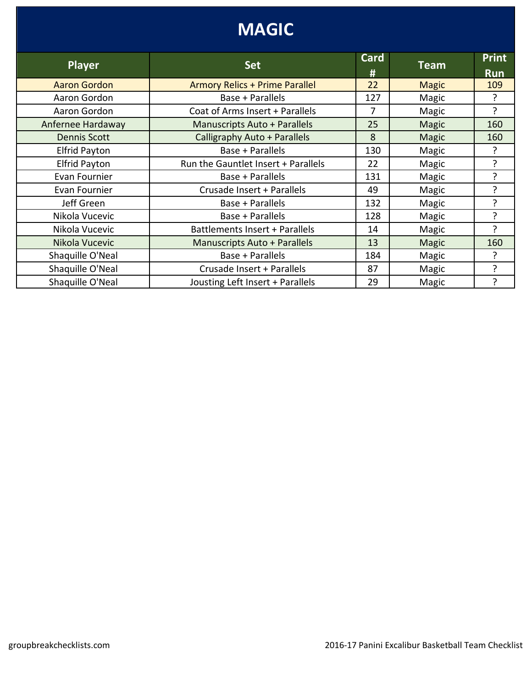| <b>MAGIC</b>         |                                       |                |              |                            |
|----------------------|---------------------------------------|----------------|--------------|----------------------------|
| <b>Player</b>        | <b>Set</b>                            | Card<br>#      | <b>Team</b>  | <b>Print</b><br><b>Run</b> |
| <b>Aaron Gordon</b>  | <b>Armory Relics + Prime Parallel</b> | 22             | <b>Magic</b> | 109                        |
| Aaron Gordon         | Base + Parallels                      | 127            | Magic        | ?                          |
| Aaron Gordon         | Coat of Arms Insert + Parallels       | $\overline{7}$ | Magic        | ?                          |
| Anfernee Hardaway    | Manuscripts Auto + Parallels          | 25             | Magic        | 160                        |
| <b>Dennis Scott</b>  | Calligraphy Auto + Parallels          | 8              | <b>Magic</b> | 160                        |
| <b>Elfrid Payton</b> | Base + Parallels                      | 130            | Magic        | ?                          |
| <b>Elfrid Payton</b> | Run the Gauntlet Insert + Parallels   | 22             | Magic        | ?                          |
| Evan Fournier        | Base + Parallels                      | 131            | Magic        | ?                          |
| Evan Fournier        | Crusade Insert + Parallels            | 49             | Magic        | ?                          |
| Jeff Green           | Base + Parallels                      | 132            | Magic        | ?                          |
| Nikola Vucevic       | Base + Parallels                      | 128            | Magic        | ?                          |
| Nikola Vucevic       | Battlements Insert + Parallels        | 14             | Magic        | ?                          |
| Nikola Vucevic       | <b>Manuscripts Auto + Parallels</b>   | 13             | Magic        | 160                        |
| Shaquille O'Neal     | Base + Parallels                      | 184            | Magic        | ?                          |
| Shaquille O'Neal     | Crusade Insert + Parallels            | 87             | Magic        | ?                          |
| Shaquille O'Neal     | Jousting Left Insert + Parallels      | 29             | Magic        | ?                          |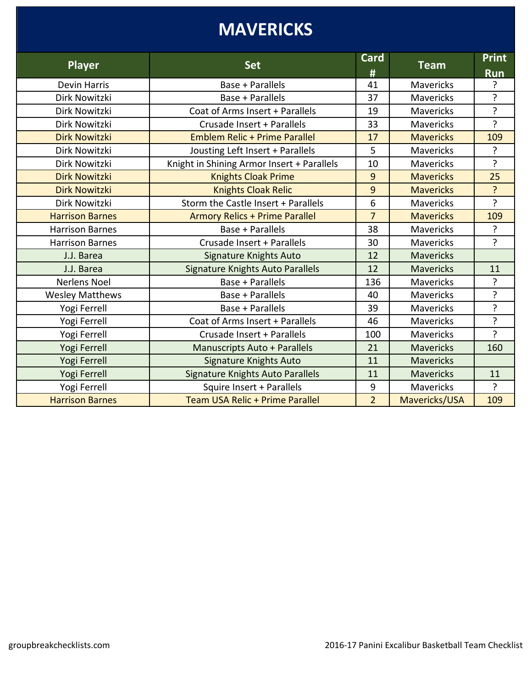# **MAVERICKS**

| <b>Player</b>          | <b>Set</b>                                 | <b>Card</b><br># | <b>Team</b>      | <b>Print</b><br><b>Run</b> |
|------------------------|--------------------------------------------|------------------|------------------|----------------------------|
| <b>Devin Harris</b>    | Base + Parallels                           | 41               | <b>Mavericks</b> | ?                          |
| Dirk Nowitzki          | Base + Parallels                           | 37               | <b>Mavericks</b> | ?                          |
| Dirk Nowitzki          | Coat of Arms Insert + Parallels            | 19               | <b>Mavericks</b> | ?                          |
| Dirk Nowitzki          | Crusade Insert + Parallels                 | 33               | <b>Mavericks</b> | ?                          |
| <b>Dirk Nowitzki</b>   | <b>Emblem Relic + Prime Parallel</b>       | 17               | <b>Mavericks</b> | 109                        |
| Dirk Nowitzki          | Jousting Left Insert + Parallels           | 5                | <b>Mavericks</b> | ?                          |
| Dirk Nowitzki          | Knight in Shining Armor Insert + Parallels | 10               | <b>Mavericks</b> | ?                          |
| <b>Dirk Nowitzki</b>   | <b>Knights Cloak Prime</b>                 | 9                | <b>Mavericks</b> | 25                         |
| <b>Dirk Nowitzki</b>   | <b>Knights Cloak Relic</b>                 | 9                | <b>Mavericks</b> | $\overline{?}$             |
| Dirk Nowitzki          | Storm the Castle Insert + Parallels        | 6                | <b>Mavericks</b> | ?                          |
| <b>Harrison Barnes</b> | <b>Armory Relics + Prime Parallel</b>      | $\overline{7}$   | <b>Mavericks</b> | 109                        |
| <b>Harrison Barnes</b> | Base + Parallels                           | 38               | <b>Mavericks</b> | ?                          |
| <b>Harrison Barnes</b> | Crusade Insert + Parallels                 | 30               | <b>Mavericks</b> | ?                          |
| J.J. Barea             | <b>Signature Knights Auto</b>              | 12               | <b>Mavericks</b> |                            |
| J.J. Barea             | <b>Signature Knights Auto Parallels</b>    | 12               | <b>Mavericks</b> | 11                         |
| <b>Nerlens Noel</b>    | Base + Parallels                           | 136              | <b>Mavericks</b> | 5.                         |
| <b>Wesley Matthews</b> | Base + Parallels                           | 40               | <b>Mavericks</b> | ?                          |
| Yogi Ferrell           | Base + Parallels                           | 39               | <b>Mavericks</b> | ?                          |
| Yogi Ferrell           | Coat of Arms Insert + Parallels            | 46               | <b>Mavericks</b> | <sup>2</sup>               |
| Yogi Ferrell           | Crusade Insert + Parallels                 | 100              | <b>Mavericks</b> | $\overline{?}$             |
| Yogi Ferrell           | <b>Manuscripts Auto + Parallels</b>        | 21               | <b>Mavericks</b> | 160                        |
| Yogi Ferrell           | <b>Signature Knights Auto</b>              | 11               | <b>Mavericks</b> |                            |
| Yogi Ferrell           | Signature Knights Auto Parallels           | 11               | <b>Mavericks</b> | 11                         |
| Yogi Ferrell           | Squire Insert + Parallels                  | 9                | <b>Mavericks</b> | ?                          |
| <b>Harrison Barnes</b> | Team USA Relic + Prime Parallel            | $\overline{2}$   | Mavericks/USA    | 109                        |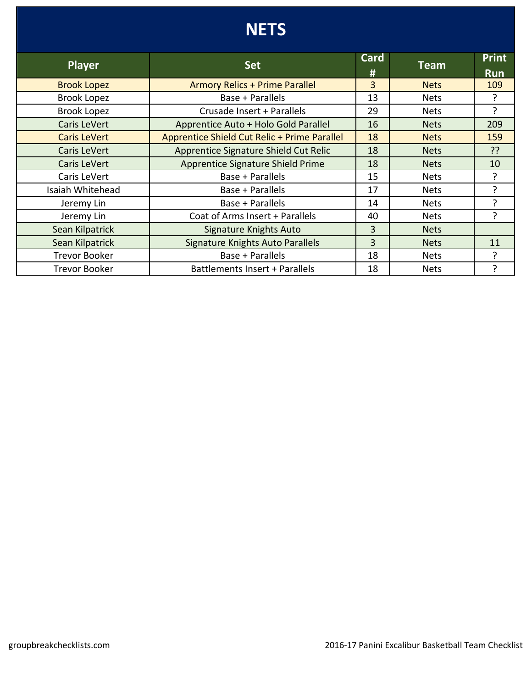## **NETS**

| <b>Player</b>        | <b>Set</b>                                   | Card | <b>Team</b> | <b>Print</b> |
|----------------------|----------------------------------------------|------|-------------|--------------|
|                      |                                              | #    |             | <b>Run</b>   |
| <b>Brook Lopez</b>   | <b>Armory Relics + Prime Parallel</b>        | 3    | <b>Nets</b> | 109          |
| <b>Brook Lopez</b>   | Base + Parallels                             | 13   | <b>Nets</b> | ?            |
| <b>Brook Lopez</b>   | Crusade Insert + Parallels                   | 29   | <b>Nets</b> | 5.           |
| Caris LeVert         | Apprentice Auto + Holo Gold Parallel         | 16   | <b>Nets</b> | 209          |
| <b>Caris LeVert</b>  | Apprentice Shield Cut Relic + Prime Parallel | 18   | <b>Nets</b> | 159          |
| Caris LeVert         | Apprentice Signature Shield Cut Relic        | 18   | <b>Nets</b> | ??           |
| Caris LeVert         | Apprentice Signature Shield Prime            | 18   | <b>Nets</b> | 10           |
| Caris LeVert         | Base + Parallels                             | 15   | <b>Nets</b> | 5.           |
| Isaiah Whitehead     | Base + Parallels                             | 17   | <b>Nets</b> | ς            |
| Jeremy Lin           | Base + Parallels                             | 14   | <b>Nets</b> | ?            |
| Jeremy Lin           | Coat of Arms Insert + Parallels              | 40   | <b>Nets</b> | ?            |
| Sean Kilpatrick      | Signature Knights Auto                       | 3    | <b>Nets</b> |              |
| Sean Kilpatrick      | <b>Signature Knights Auto Parallels</b>      | 3    | <b>Nets</b> | 11           |
| <b>Trevor Booker</b> | Base + Parallels                             | 18   | <b>Nets</b> | ?            |
| <b>Trevor Booker</b> | Battlements Insert + Parallels               | 18   | <b>Nets</b> | ?            |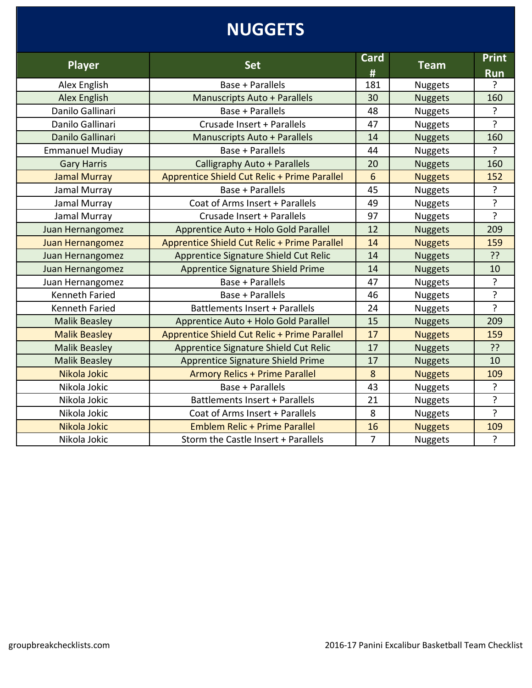# **NUGGETS**

| <b>Player</b>          | <b>Set</b>                                   | <b>Card</b><br># | <b>Team</b>    | <b>Print</b><br><b>Run</b> |
|------------------------|----------------------------------------------|------------------|----------------|----------------------------|
| Alex English           | Base + Parallels                             | 181              | <b>Nuggets</b> | ?                          |
| <b>Alex English</b>    | <b>Manuscripts Auto + Parallels</b>          | 30               | <b>Nuggets</b> | 160                        |
| Danilo Gallinari       | Base + Parallels                             | 48               | <b>Nuggets</b> | ?                          |
| Danilo Gallinari       | Crusade Insert + Parallels                   | 47               | Nuggets        | ?                          |
| Danilo Gallinari       | <b>Manuscripts Auto + Parallels</b>          | 14               | <b>Nuggets</b> | 160                        |
| <b>Emmanuel Mudiay</b> | Base + Parallels                             | 44               | Nuggets        | $\cdot$                    |
| <b>Gary Harris</b>     | Calligraphy Auto + Parallels                 | 20               | <b>Nuggets</b> | 160                        |
| <b>Jamal Murray</b>    | Apprentice Shield Cut Relic + Prime Parallel | $6\phantom{1}6$  | <b>Nuggets</b> | 152                        |
| Jamal Murray           | Base + Parallels                             | 45               | <b>Nuggets</b> | ?                          |
| Jamal Murray           | Coat of Arms Insert + Parallels              | 49               | <b>Nuggets</b> | ?                          |
| Jamal Murray           | Crusade Insert + Parallels                   | 97               | <b>Nuggets</b> | $\overline{?}$             |
| Juan Hernangomez       | Apprentice Auto + Holo Gold Parallel         | 12               | <b>Nuggets</b> | 209                        |
| Juan Hernangomez       | Apprentice Shield Cut Relic + Prime Parallel | 14               | <b>Nuggets</b> | 159                        |
| Juan Hernangomez       | Apprentice Signature Shield Cut Relic        | 14               | <b>Nuggets</b> | ??                         |
| Juan Hernangomez       | Apprentice Signature Shield Prime            | 14               | <b>Nuggets</b> | 10                         |
| Juan Hernangomez       | Base + Parallels                             | 47               | <b>Nuggets</b> | ?                          |
| <b>Kenneth Faried</b>  | Base + Parallels                             | 46               | Nuggets        | ?                          |
| <b>Kenneth Faried</b>  | Battlements Insert + Parallels               | 24               | <b>Nuggets</b> | $\overline{?}$             |
| <b>Malik Beasley</b>   | Apprentice Auto + Holo Gold Parallel         | 15               | <b>Nuggets</b> | 209                        |
| <b>Malik Beasley</b>   | Apprentice Shield Cut Relic + Prime Parallel | 17               | <b>Nuggets</b> | 159                        |
| <b>Malik Beasley</b>   | Apprentice Signature Shield Cut Relic        | 17               | <b>Nuggets</b> | ??                         |
| <b>Malik Beasley</b>   | Apprentice Signature Shield Prime            | 17               | <b>Nuggets</b> | 10                         |
| Nikola Jokic           | <b>Armory Relics + Prime Parallel</b>        | 8                | <b>Nuggets</b> | 109                        |
| Nikola Jokic           | Base + Parallels                             | 43               | <b>Nuggets</b> | ?                          |
| Nikola Jokic           | Battlements Insert + Parallels               | 21               | <b>Nuggets</b> | ?                          |
| Nikola Jokic           | Coat of Arms Insert + Parallels              | 8                | Nuggets        | $\overline{?}$             |
| Nikola Jokic           | Emblem Relic + Prime Parallel                | 16               | <b>Nuggets</b> | 109                        |
| Nikola Jokic           | Storm the Castle Insert + Parallels          | $\overline{7}$   | <b>Nuggets</b> | ?                          |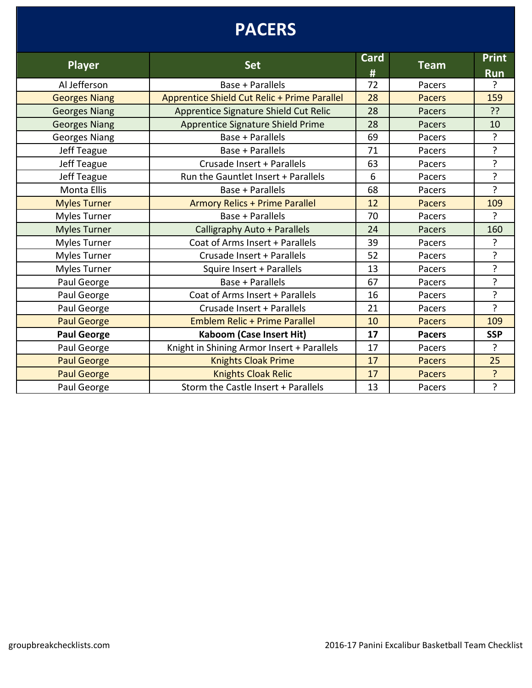## **PACERS**

| <b>Player</b>        | <b>Set</b>                                   | Card | <b>Team</b>   | <b>Print</b>   |
|----------------------|----------------------------------------------|------|---------------|----------------|
|                      |                                              | #    |               | <b>Run</b>     |
| Al Jefferson         | Base + Parallels                             | 72   | Pacers        | ?              |
| <b>Georges Niang</b> | Apprentice Shield Cut Relic + Prime Parallel | 28   | <b>Pacers</b> | 159            |
| <b>Georges Niang</b> | Apprentice Signature Shield Cut Relic        | 28   | <b>Pacers</b> | ??             |
| <b>Georges Niang</b> | <b>Apprentice Signature Shield Prime</b>     | 28   | Pacers        | 10             |
| <b>Georges Niang</b> | <b>Base + Parallels</b>                      | 69   | Pacers        | ?              |
| Jeff Teague          | Base + Parallels                             | 71   | Pacers        | ?              |
| Jeff Teague          | Crusade Insert + Parallels                   | 63   | Pacers        | ?              |
| Jeff Teague          | Run the Gauntlet Insert + Parallels          | 6    | Pacers        | ?              |
| <b>Monta Ellis</b>   | Base + Parallels                             | 68   | Pacers        | ŗ              |
| <b>Myles Turner</b>  | <b>Armory Relics + Prime Parallel</b>        | 12   | <b>Pacers</b> | 109            |
| <b>Myles Turner</b>  | Base + Parallels                             | 70   | Pacers        | ?              |
| <b>Myles Turner</b>  | Calligraphy Auto + Parallels                 | 24   | Pacers        | 160            |
| Myles Turner         | Coat of Arms Insert + Parallels              | 39   | Pacers        | ?              |
| <b>Myles Turner</b>  | Crusade Insert + Parallels                   | 52   | Pacers        | 5.             |
| Myles Turner         | Squire Insert + Parallels                    | 13   | Pacers        | ?              |
| Paul George          | Base + Parallels                             | 67   | Pacers        | ?              |
| Paul George          | Coat of Arms Insert + Parallels              | 16   | Pacers        | ?              |
| Paul George          | Crusade Insert + Parallels                   | 21   | Pacers        | $\overline{?}$ |
| <b>Paul George</b>   | <b>Emblem Relic + Prime Parallel</b>         | 10   | <b>Pacers</b> | 109            |
| <b>Paul George</b>   | Kaboom (Case Insert Hit)                     | 17   | <b>Pacers</b> | <b>SSP</b>     |
| Paul George          | Knight in Shining Armor Insert + Parallels   | 17   | Pacers        | ?              |
| <b>Paul George</b>   | <b>Knights Cloak Prime</b>                   | 17   | <b>Pacers</b> | 25             |
| <b>Paul George</b>   | <b>Knights Cloak Relic</b>                   | 17   | <b>Pacers</b> | ?              |
| Paul George          | Storm the Castle Insert + Parallels          | 13   | Pacers        | ?              |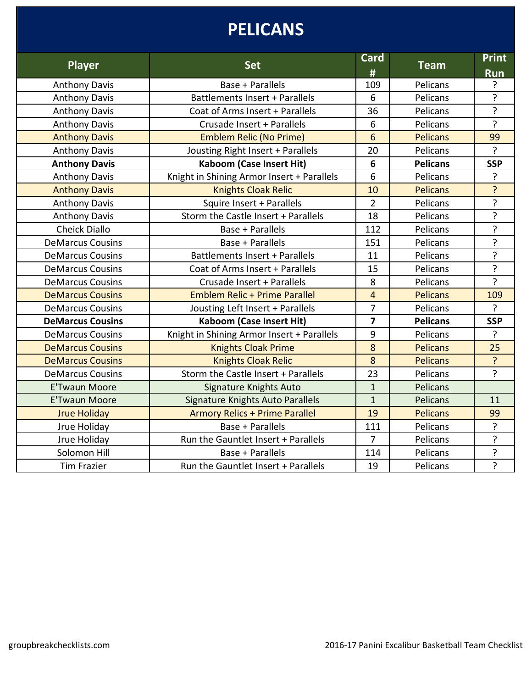# **PELICANS**

| Player                  | <b>Set</b>                                 | <b>Card</b><br># | <b>Team</b>     | <b>Print</b><br><b>Run</b> |
|-------------------------|--------------------------------------------|------------------|-----------------|----------------------------|
| <b>Anthony Davis</b>    | Base + Parallels                           | 109              | Pelicans        | ?                          |
| <b>Anthony Davis</b>    | Battlements Insert + Parallels             | 6                | Pelicans        | ?                          |
| <b>Anthony Davis</b>    | Coat of Arms Insert + Parallels            | 36               | Pelicans        | ?                          |
| <b>Anthony Davis</b>    | Crusade Insert + Parallels                 | 6                | Pelicans        | $\overline{?}$             |
| <b>Anthony Davis</b>    | <b>Emblem Relic (No Prime)</b>             | 6                | <b>Pelicans</b> | 99                         |
| <b>Anthony Davis</b>    | Jousting Right Insert + Parallels          | 20               | Pelicans        | ?                          |
| <b>Anthony Davis</b>    | <b>Kaboom (Case Insert Hit)</b>            | $6\phantom{1}6$  | <b>Pelicans</b> | <b>SSP</b>                 |
| <b>Anthony Davis</b>    | Knight in Shining Armor Insert + Parallels | 6                | Pelicans        | ?                          |
| <b>Anthony Davis</b>    | <b>Knights Cloak Relic</b>                 | 10               | <b>Pelicans</b> | $\overline{\mathbf{?}}$    |
| <b>Anthony Davis</b>    | Squire Insert + Parallels                  | $\overline{2}$   | Pelicans        | ?                          |
| <b>Anthony Davis</b>    | Storm the Castle Insert + Parallels        | 18               | Pelicans        | $\overline{?}$             |
| <b>Cheick Diallo</b>    | Base + Parallels                           | 112              | Pelicans        | ?                          |
| <b>DeMarcus Cousins</b> | Base + Parallels                           | 151              | Pelicans        | ?                          |
| <b>DeMarcus Cousins</b> | Battlements Insert + Parallels             | 11               | Pelicans        | ?                          |
| <b>DeMarcus Cousins</b> | Coat of Arms Insert + Parallels            | 15               | Pelicans        | ?                          |
| <b>DeMarcus Cousins</b> | Crusade Insert + Parallels                 | 8                | Pelicans        | ?                          |
| <b>DeMarcus Cousins</b> | <b>Emblem Relic + Prime Parallel</b>       | $\overline{4}$   | <b>Pelicans</b> | 109                        |
| <b>DeMarcus Cousins</b> | Jousting Left Insert + Parallels           | $\overline{7}$   | Pelicans        | $\overline{?}$             |
| <b>DeMarcus Cousins</b> | <b>Kaboom (Case Insert Hit)</b>            | $\overline{7}$   | <b>Pelicans</b> | <b>SSP</b>                 |
| <b>DeMarcus Cousins</b> | Knight in Shining Armor Insert + Parallels | 9                | Pelicans        | $\overline{?}$             |
| <b>DeMarcus Cousins</b> | <b>Knights Cloak Prime</b>                 | 8                | <b>Pelicans</b> | 25                         |
| <b>DeMarcus Cousins</b> | <b>Knights Cloak Relic</b>                 | 8                | <b>Pelicans</b> | $\overline{?}$             |
| <b>DeMarcus Cousins</b> | Storm the Castle Insert + Parallels        | 23               | Pelicans        | ?                          |
| <b>E'Twaun Moore</b>    | <b>Signature Knights Auto</b>              | $\mathbf{1}$     | Pelicans        |                            |
| <b>E'Twaun Moore</b>    | <b>Signature Knights Auto Parallels</b>    | $\mathbf{1}$     | Pelicans        | 11                         |
| <b>Jrue Holiday</b>     | <b>Armory Relics + Prime Parallel</b>      | 19               | <b>Pelicans</b> | 99                         |
| Jrue Holiday            | Base + Parallels                           | 111              | Pelicans        | $\overline{?}$             |
| Jrue Holiday            | Run the Gauntlet Insert + Parallels        | $\overline{7}$   | Pelicans        | ?                          |
| Solomon Hill            | Base + Parallels                           | 114              | Pelicans        | ?                          |
| <b>Tim Frazier</b>      | Run the Gauntlet Insert + Parallels        | 19               | Pelicans        | $\overline{?}$             |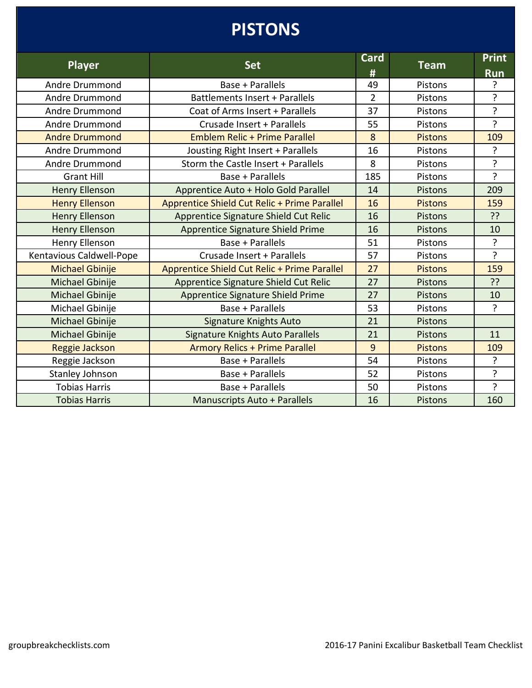# **PISTONS**

|                          |                                              | <b>Card</b>    |                | <b>Print</b>   |
|--------------------------|----------------------------------------------|----------------|----------------|----------------|
| <b>Player</b>            | <b>Set</b>                                   | #              | <b>Team</b>    | <b>Run</b>     |
| Andre Drummond           | Base + Parallels                             | 49             | Pistons        | ?              |
| Andre Drummond           | Battlements Insert + Parallels               | $\overline{2}$ | Pistons        | ?              |
| Andre Drummond           | Coat of Arms Insert + Parallels              | 37             | Pistons        | ?              |
| Andre Drummond           | Crusade Insert + Parallels                   | 55             | Pistons        | $\overline{?}$ |
| <b>Andre Drummond</b>    | <b>Emblem Relic + Prime Parallel</b>         | 8              | <b>Pistons</b> | 109            |
| Andre Drummond           | Jousting Right Insert + Parallels            | 16             | Pistons        | ?              |
| Andre Drummond           | Storm the Castle Insert + Parallels          | 8              | Pistons        | ?              |
| <b>Grant Hill</b>        | Base + Parallels                             | 185            | Pistons        | ?              |
| <b>Henry Ellenson</b>    | Apprentice Auto + Holo Gold Parallel         | 14             | Pistons        | 209            |
| <b>Henry Ellenson</b>    | Apprentice Shield Cut Relic + Prime Parallel | 16             | <b>Pistons</b> | 159            |
| <b>Henry Ellenson</b>    | Apprentice Signature Shield Cut Relic        | 16             | <b>Pistons</b> | ??             |
| <b>Henry Ellenson</b>    | <b>Apprentice Signature Shield Prime</b>     | 16             | <b>Pistons</b> | 10             |
| Henry Ellenson           | Base + Parallels                             | 51             | Pistons        | $\overline{?}$ |
| Kentavious Caldwell-Pope | Crusade Insert + Parallels                   | 57             | Pistons        | ?              |
| <b>Michael Gbinije</b>   | Apprentice Shield Cut Relic + Prime Parallel | 27             | <b>Pistons</b> | 159            |
| Michael Gbinije          | Apprentice Signature Shield Cut Relic        | 27             | Pistons        | ??             |
| Michael Gbinije          | Apprentice Signature Shield Prime            | 27             | <b>Pistons</b> | 10             |
| Michael Gbinije          | Base + Parallels                             | 53             | Pistons        | ?              |
| Michael Gbinije          | <b>Signature Knights Auto</b>                | 21             | Pistons        |                |
| Michael Gbinije          | <b>Signature Knights Auto Parallels</b>      | 21             | Pistons        | 11             |
| Reggie Jackson           | <b>Armory Relics + Prime Parallel</b>        | 9              | <b>Pistons</b> | 109            |
| Reggie Jackson           | Base + Parallels                             | 54             | Pistons        | ?              |
| Stanley Johnson          | Base + Parallels                             | 52             | Pistons        | ?              |
| <b>Tobias Harris</b>     | Base + Parallels                             | 50             | Pistons        | ?              |
| <b>Tobias Harris</b>     | <b>Manuscripts Auto + Parallels</b>          | 16             | <b>Pistons</b> | 160            |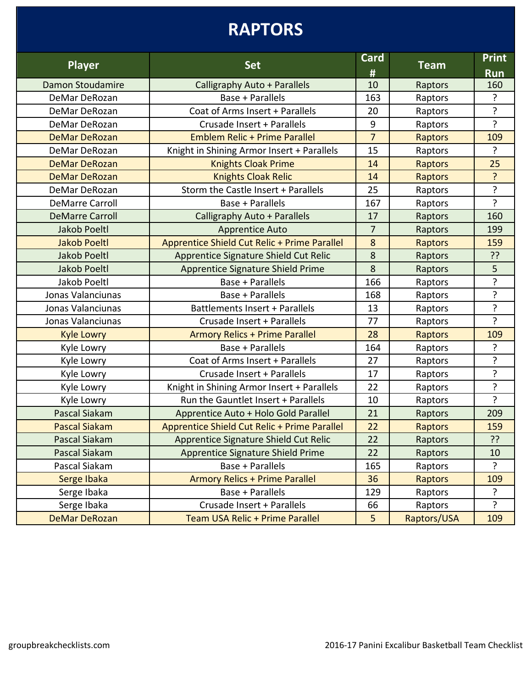# **RAPTORS**

| <b>Player</b>          | <b>Set</b>                                   | Card<br>#      | <b>Team</b>    | <b>Print</b><br><b>Run</b> |
|------------------------|----------------------------------------------|----------------|----------------|----------------------------|
| Damon Stoudamire       | <b>Calligraphy Auto + Parallels</b>          | 10             | Raptors        | 160                        |
| DeMar DeRozan          | Base + Parallels                             | 163            | Raptors        | ?                          |
| DeMar DeRozan          | Coat of Arms Insert + Parallels              | 20             | Raptors        | ?                          |
| DeMar DeRozan          | Crusade Insert + Parallels                   | 9              | Raptors        | ?                          |
| <b>DeMar DeRozan</b>   | <b>Emblem Relic + Prime Parallel</b>         | $\overline{7}$ | Raptors        | 109                        |
| DeMar DeRozan          | Knight in Shining Armor Insert + Parallels   | 15             | Raptors        | ?                          |
| <b>DeMar DeRozan</b>   | <b>Knights Cloak Prime</b>                   | 14             | <b>Raptors</b> | 25                         |
| <b>DeMar DeRozan</b>   | <b>Knights Cloak Relic</b>                   | 14             | Raptors        | ?                          |
| DeMar DeRozan          | Storm the Castle Insert + Parallels          | 25             | Raptors        | ?                          |
| <b>DeMarre Carroll</b> | Base + Parallels                             | 167            | Raptors        | ?                          |
| <b>DeMarre Carroll</b> | Calligraphy Auto + Parallels                 | 17             | Raptors        | 160                        |
| <b>Jakob Poeltl</b>    | <b>Apprentice Auto</b>                       | $\overline{7}$ | Raptors        | 199                        |
| <b>Jakob Poeltl</b>    | Apprentice Shield Cut Relic + Prime Parallel | 8              | Raptors        | 159                        |
| <b>Jakob Poeltl</b>    | Apprentice Signature Shield Cut Relic        | 8              | Raptors        | ??                         |
| <b>Jakob Poeltl</b>    | Apprentice Signature Shield Prime            | 8              | Raptors        | 5                          |
| Jakob Poeltl           | Base + Parallels                             | 166            | Raptors        | ?                          |
| Jonas Valanciunas      | Base + Parallels                             | 168            | Raptors        | ?                          |
| Jonas Valanciunas      | <b>Battlements Insert + Parallels</b>        | 13             | Raptors        | ?                          |
| Jonas Valanciunas      | Crusade Insert + Parallels                   | 77             | Raptors        | ?                          |
| <b>Kyle Lowry</b>      | <b>Armory Relics + Prime Parallel</b>        | 28             | <b>Raptors</b> | 109                        |
| Kyle Lowry             | Base + Parallels                             | 164            | Raptors        | ?                          |
| Kyle Lowry             | Coat of Arms Insert + Parallels              | 27             | Raptors        | ?                          |
| Kyle Lowry             | Crusade Insert + Parallels                   | 17             | Raptors        | ŗ                          |
| Kyle Lowry             | Knight in Shining Armor Insert + Parallels   | 22             | Raptors        | ŗ                          |
| Kyle Lowry             | Run the Gauntlet Insert + Parallels          | 10             | Raptors        | $\overline{?}$             |
| Pascal Siakam          | Apprentice Auto + Holo Gold Parallel         | 21             | Raptors        | 209                        |
| <b>Pascal Siakam</b>   | Apprentice Shield Cut Relic + Prime Parallel | 22             | Raptors        | 159                        |
| <b>Pascal Siakam</b>   | <b>Apprentice Signature Shield Cut Relic</b> | 22             | Raptors        | ??                         |
| <b>Pascal Siakam</b>   | Apprentice Signature Shield Prime            | 22             | Raptors        | 10                         |
| Pascal Siakam          | Base + Parallels                             | 165            | Raptors        | ?                          |
| Serge Ibaka            | <b>Armory Relics + Prime Parallel</b>        | 36             | <b>Raptors</b> | 109                        |
| Serge Ibaka            | Base + Parallels                             | 129            | Raptors        | ?                          |
| Serge Ibaka            | Crusade Insert + Parallels                   | 66             | Raptors        | ?                          |
| <b>DeMar DeRozan</b>   | Team USA Relic + Prime Parallel              | 5 <sup>5</sup> | Raptors/USA    | 109                        |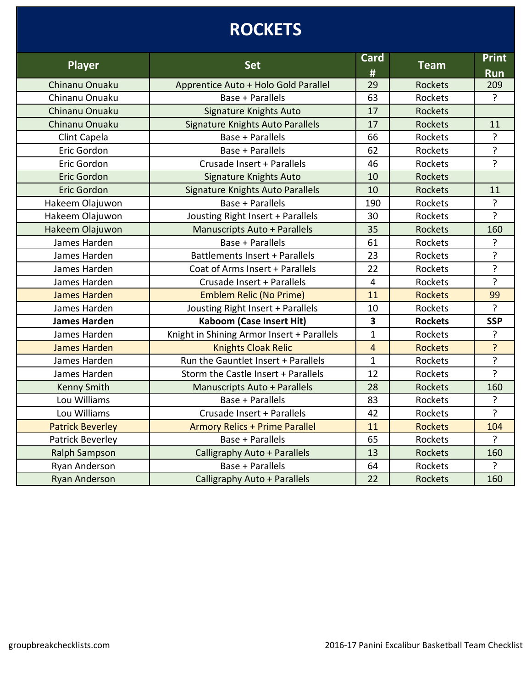# **ROCKETS**

| <b>Player</b>           | <b>Set</b>                                 | <b>Card</b><br>#        | <b>Team</b>    | <b>Print</b><br><b>Run</b> |
|-------------------------|--------------------------------------------|-------------------------|----------------|----------------------------|
| Chinanu Onuaku          | Apprentice Auto + Holo Gold Parallel       | 29                      | <b>Rockets</b> | 209                        |
| Chinanu Onuaku          | Base + Parallels                           | 63                      | Rockets        | $\overline{?}$             |
| Chinanu Onuaku          | <b>Signature Knights Auto</b>              | 17                      | <b>Rockets</b> |                            |
| Chinanu Onuaku          | Signature Knights Auto Parallels           | 17                      | <b>Rockets</b> | 11                         |
| Clint Capela            | Base + Parallels                           | 66                      | Rockets        | ?                          |
| Eric Gordon             | Base + Parallels                           | 62                      | Rockets        | ?                          |
| Eric Gordon             | Crusade Insert + Parallels                 | 46                      | Rockets        | $\overline{?}$             |
| <b>Eric Gordon</b>      | Signature Knights Auto                     | 10                      | <b>Rockets</b> |                            |
| Eric Gordon             | Signature Knights Auto Parallels           | 10                      | Rockets        | 11                         |
| Hakeem Olajuwon         | Base + Parallels                           | 190                     | Rockets        | ?                          |
| Hakeem Olajuwon         | Jousting Right Insert + Parallels          | 30                      | Rockets        | $\overline{?}$             |
| Hakeem Olajuwon         | <b>Manuscripts Auto + Parallels</b>        | 35                      | <b>Rockets</b> | 160                        |
| James Harden            | Base + Parallels                           | 61                      | Rockets        | ?                          |
| James Harden            | <b>Battlements Insert + Parallels</b>      | 23                      | Rockets        | ?                          |
| James Harden            | Coat of Arms Insert + Parallels            | 22                      | Rockets        | ?                          |
| James Harden            | Crusade Insert + Parallels                 | $\overline{4}$          | Rockets        | ?                          |
| James Harden            | <b>Emblem Relic (No Prime)</b>             | 11                      | <b>Rockets</b> | 99                         |
| James Harden            | Jousting Right Insert + Parallels          | 10                      | Rockets        | ?                          |
| <b>James Harden</b>     | <b>Kaboom (Case Insert Hit)</b>            | $\overline{\mathbf{3}}$ | <b>Rockets</b> | <b>SSP</b>                 |
| James Harden            | Knight in Shining Armor Insert + Parallels | $\mathbf{1}$            | Rockets        | ?                          |
| James Harden            | <b>Knights Cloak Relic</b>                 | $\overline{4}$          | <b>Rockets</b> | ?                          |
| James Harden            | Run the Gauntlet Insert + Parallels        | $\mathbf{1}$            | Rockets        | ?                          |
| James Harden            | Storm the Castle Insert + Parallels        | 12                      | Rockets        | $\overline{?}$             |
| <b>Kenny Smith</b>      | <b>Manuscripts Auto + Parallels</b>        | 28                      | <b>Rockets</b> | 160                        |
| Lou Williams            | Base + Parallels                           | 83                      | Rockets        | ?                          |
| Lou Williams            | Crusade Insert + Parallels                 | 42                      | Rockets        | ?                          |
| <b>Patrick Beverley</b> | <b>Armory Relics + Prime Parallel</b>      | 11                      | <b>Rockets</b> | 104                        |
| Patrick Beverley        | Base + Parallels                           | 65                      | Rockets        | $\overline{?}$             |
| <b>Ralph Sampson</b>    | <b>Calligraphy Auto + Parallels</b>        | 13                      | Rockets        | 160                        |
| Ryan Anderson           | Base + Parallels                           | 64                      | Rockets        | ?                          |
| <b>Ryan Anderson</b>    | Calligraphy Auto + Parallels               | 22                      | <b>Rockets</b> | 160                        |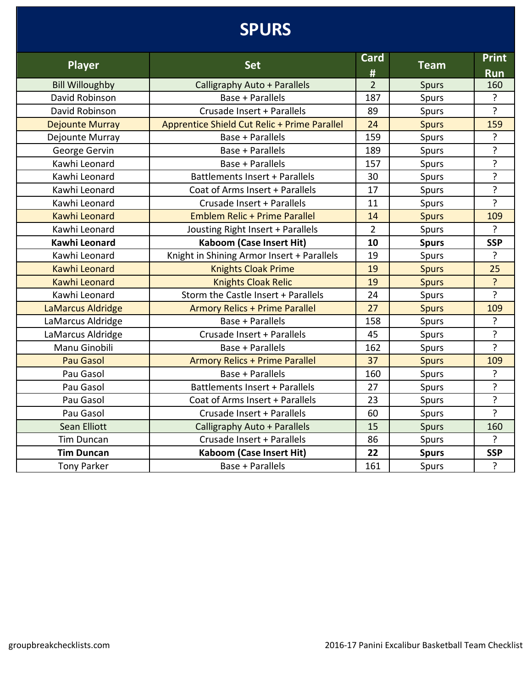# **SPURS**

|                        |                                              | <b>Card</b>    |              | <b>Print</b>   |
|------------------------|----------------------------------------------|----------------|--------------|----------------|
| <b>Player</b>          | <b>Set</b>                                   | #              | <b>Team</b>  | <b>Run</b>     |
| <b>Bill Willoughby</b> | Calligraphy Auto + Parallels                 | $\overline{2}$ | <b>Spurs</b> | 160            |
| David Robinson         | Base + Parallels                             | 187            | Spurs        | ?              |
| David Robinson         | Crusade Insert + Parallels                   | 89             | Spurs        | $\overline{?}$ |
| <b>Dejounte Murray</b> | Apprentice Shield Cut Relic + Prime Parallel | 24             | <b>Spurs</b> | 159            |
| Dejounte Murray        | Base + Parallels                             | 159            | Spurs        | ?              |
| George Gervin          | Base + Parallels                             | 189            | Spurs        | ?              |
| Kawhi Leonard          | Base + Parallels                             | 157            | Spurs        | ?              |
| Kawhi Leonard          | Battlements Insert + Parallels               | 30             | Spurs        | ?              |
| Kawhi Leonard          | Coat of Arms Insert + Parallels              | 17             | Spurs        | ?              |
| Kawhi Leonard          | Crusade Insert + Parallels                   | 11             | Spurs        | $\overline{?}$ |
| Kawhi Leonard          | <b>Emblem Relic + Prime Parallel</b>         | 14             | <b>Spurs</b> | 109            |
| Kawhi Leonard          | Jousting Right Insert + Parallels            | $\overline{2}$ | Spurs        | ?              |
| <b>Kawhi Leonard</b>   | <b>Kaboom (Case Insert Hit)</b>              | 10             | <b>Spurs</b> | <b>SSP</b>     |
| Kawhi Leonard          | Knight in Shining Armor Insert + Parallels   | 19             | Spurs        | $\overline{?}$ |
| <b>Kawhi Leonard</b>   | <b>Knights Cloak Prime</b>                   | 19             | <b>Spurs</b> | 25             |
| <b>Kawhi Leonard</b>   | <b>Knights Cloak Relic</b>                   | 19             | <b>Spurs</b> | ?              |
| Kawhi Leonard          | Storm the Castle Insert + Parallels          | 24             | Spurs        | $\overline{?}$ |
| LaMarcus Aldridge      | <b>Armory Relics + Prime Parallel</b>        | 27             | <b>Spurs</b> | 109            |
| LaMarcus Aldridge      | Base + Parallels                             | 158            | Spurs        | ?              |
| LaMarcus Aldridge      | Crusade Insert + Parallels                   | 45             | Spurs        | $\overline{?}$ |
| Manu Ginobili          | Base + Parallels                             | 162            | Spurs        | $\overline{?}$ |
| <b>Pau Gasol</b>       | <b>Armory Relics + Prime Parallel</b>        | 37             | <b>Spurs</b> | 109            |
| Pau Gasol              | Base + Parallels                             | 160            | Spurs        | ?              |
| Pau Gasol              | <b>Battlements Insert + Parallels</b>        | 27             | Spurs        | <sup>2</sup>   |
| Pau Gasol              | Coat of Arms Insert + Parallels              | 23             | Spurs        | ?              |
| Pau Gasol              | Crusade Insert + Parallels                   | 60             | Spurs        | $\overline{?}$ |
| <b>Sean Elliott</b>    | Calligraphy Auto + Parallels                 | 15             | <b>Spurs</b> | 160            |
| <b>Tim Duncan</b>      | Crusade Insert + Parallels                   | 86             | Spurs        | $\overline{?}$ |
| <b>Tim Duncan</b>      | <b>Kaboom (Case Insert Hit)</b>              | 22             | <b>Spurs</b> | <b>SSP</b>     |
| <b>Tony Parker</b>     | Base + Parallels                             | 161            | Spurs        | ?              |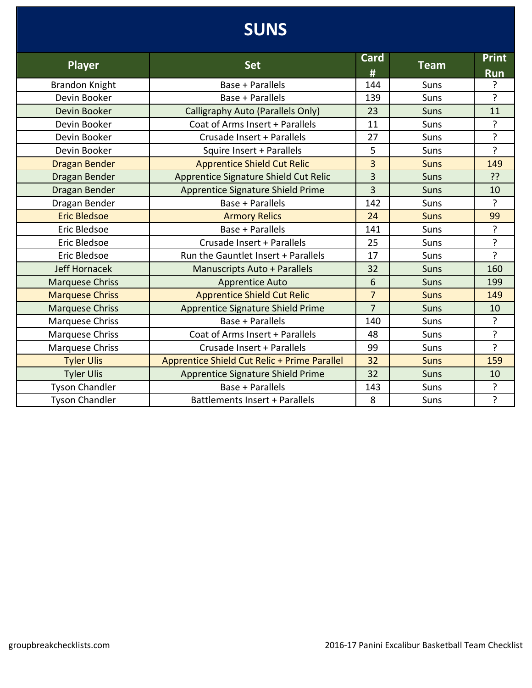## **SUNS**

| <b>Player</b>          | <b>Set</b>                                   | Card           | <b>Team</b> | <b>Print</b>   |
|------------------------|----------------------------------------------|----------------|-------------|----------------|
|                        |                                              | #              |             | Run            |
| <b>Brandon Knight</b>  | Base + Parallels                             | 144            | Suns        | ?              |
| Devin Booker           | Base + Parallels                             | 139            | Suns        | ?              |
| Devin Booker           | Calligraphy Auto (Parallels Only)            | 23             | <b>Suns</b> | 11             |
| Devin Booker           | Coat of Arms Insert + Parallels              | 11             | Suns        | ?              |
| Devin Booker           | Crusade Insert + Parallels                   | 27             | Suns        | $\overline{?}$ |
| Devin Booker           | Squire Insert + Parallels                    | 5              | Suns        | $\overline{?}$ |
| <b>Dragan Bender</b>   | <b>Apprentice Shield Cut Relic</b>           | $\overline{3}$ | <b>Suns</b> | 149            |
| Dragan Bender          | Apprentice Signature Shield Cut Relic        | 3              | Suns        | ??             |
| Dragan Bender          | Apprentice Signature Shield Prime            | $\overline{3}$ | <b>Suns</b> | 10             |
| Dragan Bender          | <b>Base + Parallels</b>                      | 142            | Suns        | ?              |
| <b>Eric Bledsoe</b>    | <b>Armory Relics</b>                         | 24             | <b>Suns</b> | 99             |
| Eric Bledsoe           | Base + Parallels                             | 141            | Suns        | ?              |
| Eric Bledsoe           | Crusade Insert + Parallels                   | 25             | Suns        | ?              |
| Eric Bledsoe           | Run the Gauntlet Insert + Parallels          | 17             | Suns        | ?              |
| Jeff Hornacek          | <b>Manuscripts Auto + Parallels</b>          | 32             | <b>Suns</b> | 160            |
| <b>Marquese Chriss</b> | <b>Apprentice Auto</b>                       | 6              | <b>Suns</b> | 199            |
| <b>Marquese Chriss</b> | <b>Apprentice Shield Cut Relic</b>           | $\overline{7}$ | <b>Suns</b> | 149            |
| <b>Marquese Chriss</b> | Apprentice Signature Shield Prime            | $\overline{7}$ | <b>Suns</b> | 10             |
| Marquese Chriss        | Base + Parallels                             | 140            | Suns        | ?              |
| <b>Marquese Chriss</b> | Coat of Arms Insert + Parallels              | 48             | Suns        | ?              |
| Marquese Chriss        | Crusade Insert + Parallels                   | 99             | Suns        | $\overline{?}$ |
| <b>Tyler Ulis</b>      | Apprentice Shield Cut Relic + Prime Parallel | 32             | <b>Suns</b> | 159            |
| <b>Tyler Ulis</b>      | Apprentice Signature Shield Prime            | 32             | Suns        | 10             |
| <b>Tyson Chandler</b>  | Base + Parallels                             | 143            | Suns        | ?              |
| <b>Tyson Chandler</b>  | Battlements Insert + Parallels               | 8              | Suns        | ?              |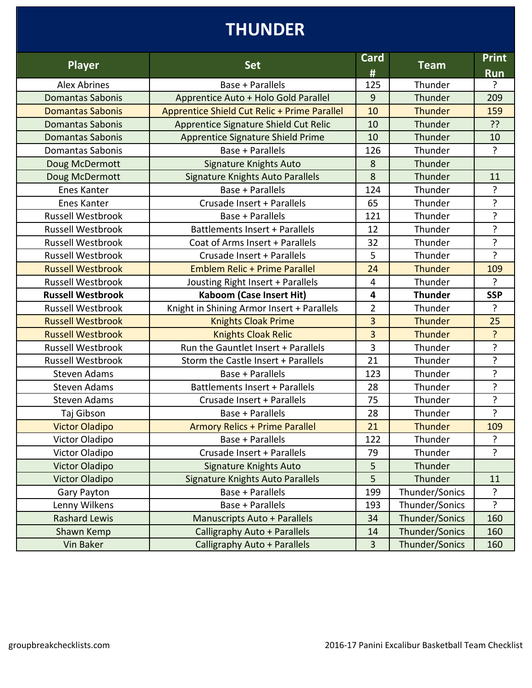# **THUNDER**

| <b>Player</b>            | <b>Set</b>                                   | <b>Card</b><br># | <b>Team</b>    | <b>Print</b><br><b>Run</b> |
|--------------------------|----------------------------------------------|------------------|----------------|----------------------------|
| <b>Alex Abrines</b>      | Base + Parallels                             | 125              | Thunder        | ?                          |
| <b>Domantas Sabonis</b>  | Apprentice Auto + Holo Gold Parallel         | 9                | Thunder        | 209                        |
| <b>Domantas Sabonis</b>  | Apprentice Shield Cut Relic + Prime Parallel | 10               | <b>Thunder</b> | 159                        |
| <b>Domantas Sabonis</b>  | Apprentice Signature Shield Cut Relic        | 10               | Thunder        | ??                         |
| <b>Domantas Sabonis</b>  | Apprentice Signature Shield Prime            | 10               | Thunder        | 10                         |
| <b>Domantas Sabonis</b>  | Base + Parallels                             | 126              | Thunder        | $\cdot$                    |
| Doug McDermott           | Signature Knights Auto                       | 8                | Thunder        |                            |
| Doug McDermott           | <b>Signature Knights Auto Parallels</b>      | 8                | Thunder        | 11                         |
| <b>Enes Kanter</b>       | Base + Parallels                             | 124              | Thunder        | ?                          |
| Enes Kanter              | Crusade Insert + Parallels                   | 65               | Thunder        | ?                          |
| Russell Westbrook        | Base + Parallels                             | 121              | Thunder        | ?                          |
| <b>Russell Westbrook</b> | Battlements Insert + Parallels               | 12               | Thunder        | ?                          |
| <b>Russell Westbrook</b> | Coat of Arms Insert + Parallels              | 32               | Thunder        | $\overline{?}$             |
| <b>Russell Westbrook</b> | Crusade Insert + Parallels                   | 5                | Thunder        | $\overline{?}$             |
| <b>Russell Westbrook</b> | <b>Emblem Relic + Prime Parallel</b>         | 24               | <b>Thunder</b> | 109                        |
| <b>Russell Westbrook</b> | Jousting Right Insert + Parallels            | $\overline{4}$   | Thunder        | $\overline{?}$             |
| <b>Russell Westbrook</b> | <b>Kaboom (Case Insert Hit)</b>              | 4                | <b>Thunder</b> | <b>SSP</b>                 |
| <b>Russell Westbrook</b> | Knight in Shining Armor Insert + Parallels   | $\overline{2}$   | Thunder        | $\overline{?}$             |
| <b>Russell Westbrook</b> | <b>Knights Cloak Prime</b>                   | 3                | <b>Thunder</b> | 25                         |
| <b>Russell Westbrook</b> | <b>Knights Cloak Relic</b>                   | $\overline{3}$   | <b>Thunder</b> | ?                          |
| <b>Russell Westbrook</b> | Run the Gauntlet Insert + Parallels          | 3                | Thunder        | ?                          |
| <b>Russell Westbrook</b> | Storm the Castle Insert + Parallels          | 21               | Thunder        | ?                          |
| <b>Steven Adams</b>      | Base + Parallels                             | 123              | Thunder        | ?                          |
| <b>Steven Adams</b>      | Battlements Insert + Parallels               | 28               | Thunder        | $\overline{?}$             |
| <b>Steven Adams</b>      | Crusade Insert + Parallels                   | 75               | Thunder        | $\overline{?}$             |
| Taj Gibson               | Base + Parallels                             | 28               | Thunder        | $\overline{?}$             |
| <b>Victor Oladipo</b>    | <b>Armory Relics + Prime Parallel</b>        | 21               | Thunder        | 109                        |
| Victor Oladipo           | <b>Base + Parallels</b>                      | 122              | Thunder        | ?                          |
| Victor Oladipo           | Crusade Insert + Parallels                   | 79               | Thunder        | ?                          |
| <b>Victor Oladipo</b>    | <b>Signature Knights Auto</b>                | 5                | Thunder        |                            |
| <b>Victor Oladipo</b>    | Signature Knights Auto Parallels             | 5                | Thunder        | 11                         |
| Gary Payton              | Base + Parallels                             | 199              | Thunder/Sonics | ?                          |
| Lenny Wilkens            | <b>Base + Parallels</b>                      | 193              | Thunder/Sonics | $\mathbf{r}$               |
| <b>Rashard Lewis</b>     | <b>Manuscripts Auto + Parallels</b>          | 34               | Thunder/Sonics | 160                        |
| Shawn Kemp               | Calligraphy Auto + Parallels                 | 14               | Thunder/Sonics | 160                        |
| Vin Baker                | Calligraphy Auto + Parallels                 | 3                | Thunder/Sonics | 160                        |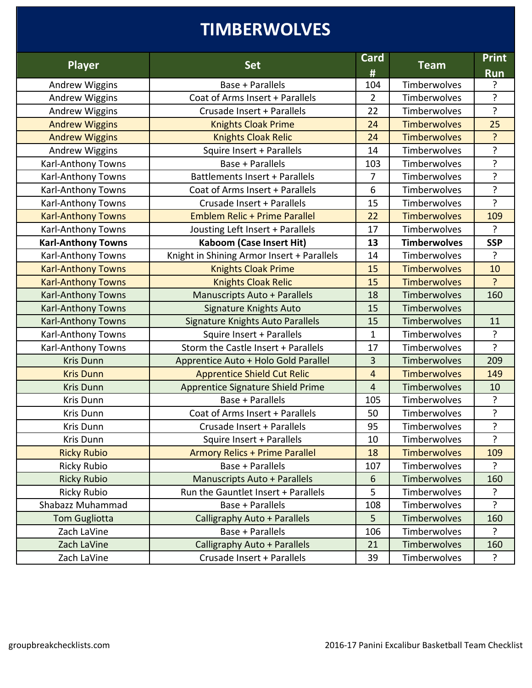## **TIMBERWOLVES**

| <b>Player</b>             | <b>Set</b>                                 | <b>Card</b><br># | <b>Team</b>         | <b>Print</b><br><b>Run</b> |
|---------------------------|--------------------------------------------|------------------|---------------------|----------------------------|
| <b>Andrew Wiggins</b>     | Base + Parallels                           | 104              | Timberwolves        | ?                          |
| <b>Andrew Wiggins</b>     | Coat of Arms Insert + Parallels            | $\overline{2}$   | Timberwolves        | $\overline{?}$             |
| <b>Andrew Wiggins</b>     | Crusade Insert + Parallels                 | 22               | Timberwolves        | $\overline{?}$             |
| <b>Andrew Wiggins</b>     | <b>Knights Cloak Prime</b>                 | 24               | <b>Timberwolves</b> | 25                         |
| <b>Andrew Wiggins</b>     | <b>Knights Cloak Relic</b>                 | 24               | <b>Timberwolves</b> | ?                          |
| Andrew Wiggins            | Squire Insert + Parallels                  | 14               | Timberwolves        | $\overline{?}$             |
| Karl-Anthony Towns        | Base + Parallels                           | 103              | Timberwolves        | $\overline{?}$             |
| Karl-Anthony Towns        | <b>Battlements Insert + Parallels</b>      | 7                | Timberwolves        | $\overline{?}$             |
| Karl-Anthony Towns        | Coat of Arms Insert + Parallels            | $6\,$            | Timberwolves        | ?                          |
| Karl-Anthony Towns        | Crusade Insert + Parallels                 | 15               | Timberwolves        | $\overline{?}$             |
| <b>Karl-Anthony Towns</b> | <b>Emblem Relic + Prime Parallel</b>       | 22               | <b>Timberwolves</b> | 109                        |
| Karl-Anthony Towns        | Jousting Left Insert + Parallels           | 17               | Timberwolves        | $\overline{?}$             |
| <b>Karl-Anthony Towns</b> | <b>Kaboom (Case Insert Hit)</b>            | 13               | <b>Timberwolves</b> | <b>SSP</b>                 |
| Karl-Anthony Towns        | Knight in Shining Armor Insert + Parallels | 14               | Timberwolves        | $\overline{?}$             |
| <b>Karl-Anthony Towns</b> | <b>Knights Cloak Prime</b>                 | 15               | <b>Timberwolves</b> | 10                         |
| <b>Karl-Anthony Towns</b> | <b>Knights Cloak Relic</b>                 | 15               | <b>Timberwolves</b> | ?                          |
| <b>Karl-Anthony Towns</b> | <b>Manuscripts Auto + Parallels</b>        | 18               | Timberwolves        | 160                        |
| <b>Karl-Anthony Towns</b> | <b>Signature Knights Auto</b>              | 15               | Timberwolves        |                            |
| <b>Karl-Anthony Towns</b> | <b>Signature Knights Auto Parallels</b>    | 15               | Timberwolves        | 11                         |
| Karl-Anthony Towns        | Squire Insert + Parallels                  | $\mathbf{1}$     | Timberwolves        | ?                          |
| Karl-Anthony Towns        | Storm the Castle Insert + Parallels        | 17               | Timberwolves        | ?                          |
| <b>Kris Dunn</b>          | Apprentice Auto + Holo Gold Parallel       | 3                | Timberwolves        | 209                        |
| <b>Kris Dunn</b>          | <b>Apprentice Shield Cut Relic</b>         | 4                | <b>Timberwolves</b> | 149                        |
| <b>Kris Dunn</b>          | Apprentice Signature Shield Prime          | $\overline{4}$   | Timberwolves        | 10                         |
| Kris Dunn                 | Base + Parallels                           | 105              | Timberwolves        | ?                          |
| Kris Dunn                 | Coat of Arms Insert + Parallels            | 50               | Timberwolves        | ?                          |
| Kris Dunn                 | Crusade Insert + Parallels                 | 95               | Timberwolves        | $\overline{?}$             |
| Kris Dunn                 | Squire Insert + Parallels                  | 10               | Timberwolves        | ?                          |
| <b>Ricky Rubio</b>        | <b>Armory Relics + Prime Parallel</b>      | 18               | <b>Timberwolves</b> | 109                        |
| <b>Ricky Rubio</b>        | Base + Parallels                           | 107              | Timberwolves        | ?                          |
| <b>Ricky Rubio</b>        | <b>Manuscripts Auto + Parallels</b>        | 6                | Timberwolves        | 160                        |
| <b>Ricky Rubio</b>        | Run the Gauntlet Insert + Parallels        | 5                | Timberwolves        | ?                          |
| Shabazz Muhammad          | Base + Parallels                           | 108              | Timberwolves        | $\mathbf{r}$               |
| <b>Tom Gugliotta</b>      | Calligraphy Auto + Parallels               | 5                | Timberwolves        | 160                        |
| Zach LaVine               | Base + Parallels                           | 106              | Timberwolves        | $\overline{?}$             |
| Zach LaVine               | Calligraphy Auto + Parallels               | 21               | Timberwolves        | 160                        |
| Zach LaVine               | Crusade Insert + Parallels                 | 39               | Timberwolves        | ?                          |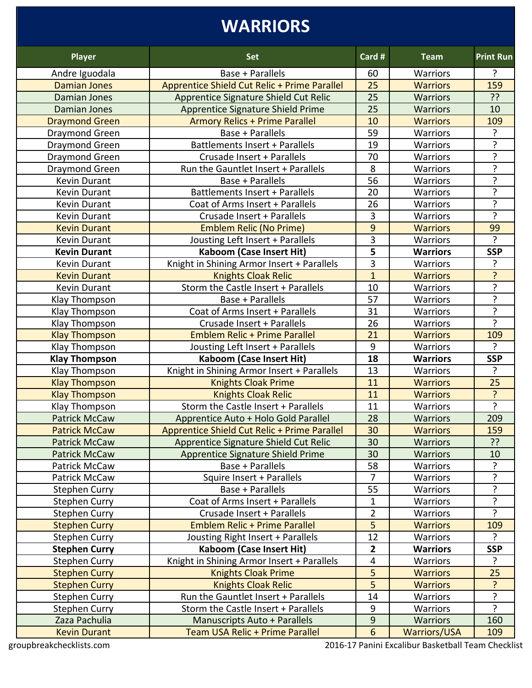# **WARRIORS**

| <b>Player</b>                        | <b>Set</b>                                                             | Card #                  | <b>Team</b>                            | <b>Print Run</b> |
|--------------------------------------|------------------------------------------------------------------------|-------------------------|----------------------------------------|------------------|
| Andre Iguodala                       | Base + Parallels                                                       | 60                      | <b>Warriors</b>                        | ?                |
| <b>Damian Jones</b>                  | Apprentice Shield Cut Relic + Prime Parallel                           | 25                      | <b>Warriors</b>                        | 159              |
| Damian Jones                         | Apprentice Signature Shield Cut Relic                                  | 25                      | <b>Warriors</b>                        | ??               |
| Damian Jones                         | Apprentice Signature Shield Prime                                      | 25                      | <b>Warriors</b>                        | 10               |
| <b>Draymond Green</b>                | <b>Armory Relics + Prime Parallel</b>                                  | 10                      | <b>Warriors</b>                        | 109              |
| Draymond Green                       | Base + Parallels                                                       | 59                      | Warriors                               | $\mathbf{P}$     |
| Draymond Green                       | Battlements Insert + Parallels                                         | 19                      | Warriors                               | ?                |
| Draymond Green                       | Crusade Insert + Parallels                                             | 70                      | <b>Warriors</b>                        | ?                |
| <b>Draymond Green</b>                | Run the Gauntlet Insert + Parallels                                    | 8                       | Warriors                               | ?                |
| Kevin Durant                         | Base + Parallels                                                       | 56                      | Warriors                               | ?                |
| <b>Kevin Durant</b>                  | Battlements Insert + Parallels                                         | 20                      | Warriors                               | ?                |
| Kevin Durant                         | Coat of Arms Insert + Parallels                                        | 26                      | Warriors                               | $\overline{?}$   |
| <b>Kevin Durant</b>                  | Crusade Insert + Parallels                                             | 3                       | Warriors                               | $\overline{?}$   |
| <b>Kevin Durant</b>                  | <b>Emblem Relic (No Prime)</b>                                         | 9                       | <b>Warriors</b>                        | 99               |
| Kevin Durant                         | Jousting Left Insert + Parallels                                       | 3                       | Warriors                               | ?                |
| <b>Kevin Durant</b>                  | <b>Kaboom (Case Insert Hit)</b>                                        | 5                       | <b>Warriors</b>                        | <b>SSP</b>       |
| <b>Kevin Durant</b>                  | Knight in Shining Armor Insert + Parallels                             | 3                       | <b>Warriors</b>                        | 7                |
| <b>Kevin Durant</b>                  | <b>Knights Cloak Relic</b>                                             | $\mathbf{1}$            | <b>Warriors</b>                        | ?                |
| Kevin Durant                         | Storm the Castle Insert + Parallels                                    | 10                      | <b>Warriors</b>                        | ?                |
| Klay Thompson                        | Base + Parallels                                                       | 57                      | Warriors                               | $\overline{?}$   |
| Klay Thompson                        | Coat of Arms Insert + Parallels                                        | 31                      | <b>Warriors</b>                        | ?                |
| Klay Thompson                        | Crusade Insert + Parallels                                             | 26                      | Warriors                               | ?                |
| <b>Klay Thompson</b>                 | <b>Emblem Relic + Prime Parallel</b>                                   | 21                      | <b>Warriors</b>                        | 109              |
|                                      |                                                                        | 9                       |                                        | $\mathbf{c}$     |
| Klay Thompson                        | Jousting Left Insert + Parallels                                       |                         | <b>Warriors</b>                        |                  |
| <b>Klay Thompson</b>                 | <b>Kaboom (Case Insert Hit)</b>                                        | 18                      | <b>Warriors</b>                        | <b>SSP</b>       |
| Klay Thompson                        | Knight in Shining Armor Insert + Parallels                             | 13                      | <b>Warriors</b>                        | ?                |
| <b>Klay Thompson</b>                 | <b>Knights Cloak Prime</b>                                             | 11                      | <b>Warriors</b>                        | 25               |
| <b>Klay Thompson</b>                 | <b>Knights Cloak Relic</b>                                             | 11                      | <b>Warriors</b>                        | $\overline{?}$   |
| Klay Thompson                        | Storm the Castle Insert + Parallels                                    | 11                      | Warriors                               | $\overline{?}$   |
| <b>Patrick McCaw</b>                 | Apprentice Auto + Holo Gold Parallel                                   | 28                      | <b>Warriors</b>                        | 209              |
| <b>Patrick McCaw</b>                 | Apprentice Shield Cut Relic + Prime Parallel                           | 30                      | <b>Warriors</b>                        | 159              |
| <b>Patrick McCaw</b>                 | Apprentice Signature Shield Cut Relic                                  | 30                      | <b>Warriors</b>                        | ??               |
| <b>Patrick McCaw</b>                 | <b>Apprentice Signature Shield Prime</b>                               | 30                      | <b>Warriors</b>                        | 10               |
| Patrick McCaw                        | Base + Parallels                                                       | 58                      | Warriors                               | ?                |
| <b>Patrick McCaw</b>                 | Squire Insert + Parallels                                              | $\overline{7}$          | Warriors                               | 5.               |
| <b>Stephen Curry</b>                 | Base + Parallels                                                       | 55                      | <b>Warriors</b>                        | ?                |
| <b>Stephen Curry</b>                 | Coat of Arms Insert + Parallels                                        | 1                       | Warriors                               | ?                |
| <b>Stephen Curry</b>                 | Crusade Insert + Parallels                                             | $\overline{2}$          | Warriors                               | $\mathbf{c}$     |
| <b>Stephen Curry</b>                 | <b>Emblem Relic + Prime Parallel</b>                                   | 5                       | <b>Warriors</b>                        | 109              |
| <b>Stephen Curry</b>                 | Jousting Right Insert + Parallels                                      | 12                      | Warriors                               | ?                |
| <b>Stephen Curry</b>                 | <b>Kaboom (Case Insert Hit)</b>                                        | $\overline{\mathbf{2}}$ | <b>Warriors</b>                        | <b>SSP</b>       |
| <b>Stephen Curry</b>                 | Knight in Shining Armor Insert + Parallels                             | 4                       | <b>Warriors</b>                        | $\mathcal{P}$    |
| <b>Stephen Curry</b>                 | <b>Knights Cloak Prime</b>                                             | 5                       | <b>Warriors</b>                        | 25               |
| <b>Stephen Curry</b>                 | <b>Knights Cloak Relic</b>                                             | 5                       | <b>Warriors</b>                        | ?                |
| <b>Stephen Curry</b>                 | Run the Gauntlet Insert + Parallels                                    | 14                      | Warriors                               | $\overline{?}$   |
| <b>Stephen Curry</b>                 | Storm the Castle Insert + Parallels                                    | 9                       | Warriors                               | $\mathbf{c}$     |
| Zaza Pachulia<br><b>Kevin Durant</b> | <b>Manuscripts Auto + Parallels</b><br>Team USA Relic + Prime Parallel | 9<br>6                  | <b>Warriors</b><br><b>Warriors/USA</b> | 160<br>109       |

groupbreakchecklists.com 2016-17 Panini Excalibur Basketball Team Checklist